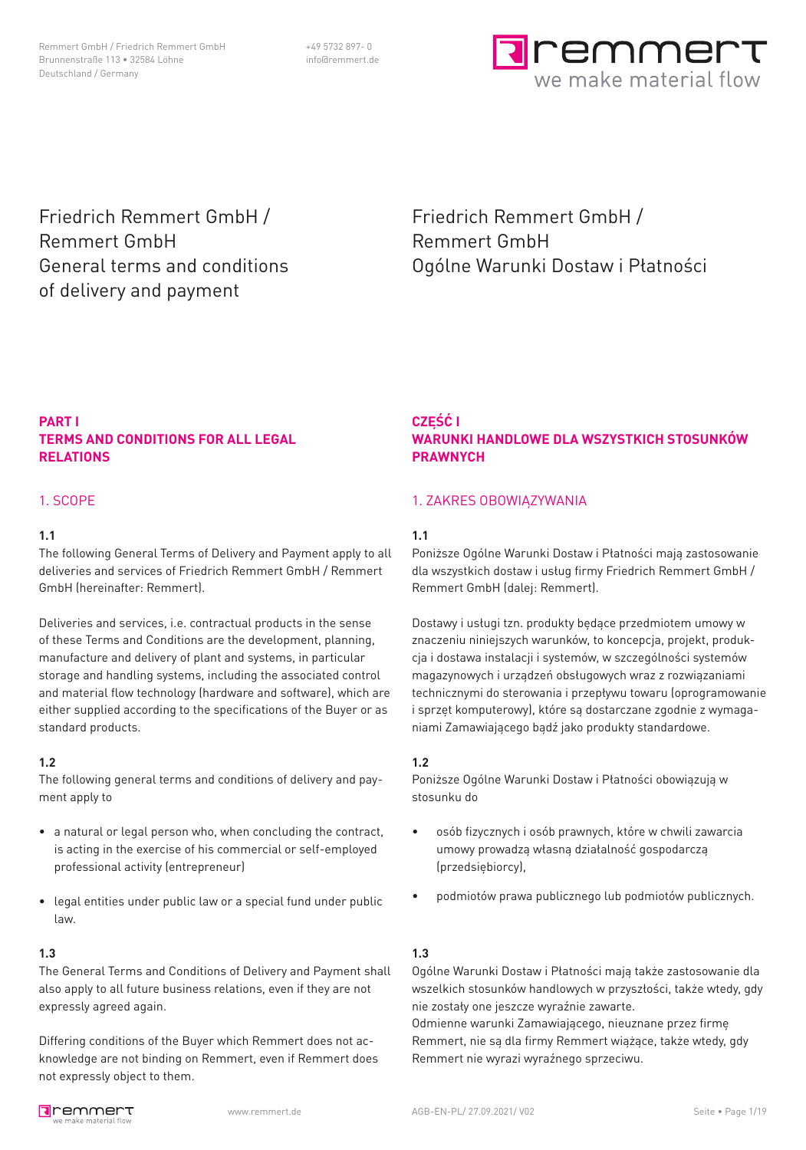+49 5732 897- 0 info@remmert.de



Friedrich Remmert GmbH / Remmert GmbH General terms and conditions of delivery and payment

# Friedrich Remmert GmbH / Remmert GmbH Ogólne Warunki Dostaw i Płatności

# **PART I TERMS AND CONDITIONS FOR ALL LEGAL RELATIONS**

### 1. SCOPE

#### **1.1**

The following General Terms of Delivery and Payment apply to all deliveries and services of Friedrich Remmert GmbH / Remmert GmbH (hereinafter: Remmert).

Deliveries and services, i.e. contractual products in the sense of these Terms and Conditions are the development, planning, manufacture and delivery of plant and systems, in particular storage and handling systems, including the associated control and material flow technology (hardware and software), which are either supplied according to the specifications of the Buyer or as standard products.

### **1.2**

The following general terms and conditions of delivery and payment apply to

- a natural or legal person who, when concluding the contract, is acting in the exercise of his commercial or self-employed professional activity (entrepreneur)
- legal entities under public law or a special fund under public law.

### **1.3**

The General Terms and Conditions of Delivery and Payment shall also apply to all future business relations, even if they are not expressly agreed again.

Differing conditions of the Buyer which Remmert does not acknowledge are not binding on Remmert, even if Remmert does not expressly object to them.

# **CZĘŚĆ I WARUNKI HANDLOWE DLA WSZYSTKICH STOSUNKÓW PRAWNYCH**

# 1. ZAKRES OBOWIAZYWANIA

### **1.1**

Poniższe Ogólne Warunki Dostaw i Płatności mają zastosowanie dla wszystkich dostaw i usług firmy Friedrich Remmert GmbH / Remmert GmbH (dalej: Remmert).

Dostawy i usługi tzn. produkty będące przedmiotem umowy w znaczeniu niniejszych warunków, to koncepcja, projekt, produkcja i dostawa instalacji i systemów, w szczególności systemów magazynowych i urządzeń obsługowych wraz z rozwiązaniami technicznymi do sterowania i przepływu towaru (oprogramowanie i sprzęt komputerowy), które są dostarczane zgodnie z wymaganiami Zamawiającego bądź jako produkty standardowe.

### **1.2**

Poniższe Ogólne Warunki Dostaw i Płatności obowiązują w stosunku do

- osób fizycznych i osób prawnych, które w chwili zawarcia umowy prowadzą własną działalność gospodarczą (przedsiębiorcy),
- podmiotów prawa publicznego lub podmiotów publicznych.

### **1.3**

Ogólne Warunki Dostaw i Płatności mają także zastosowanie dla wszelkich stosunków handlowych w przyszłości, także wtedy, gdy nie zostały one jeszcze wyraźnie zawarte.

Odmienne warunki Zamawiającego, nieuznane przez firmę Remmert, nie są dla firmy Remmert wiążące, także wtedy, gdy Remmert nie wyrazi wyraźnego sprzeciwu.

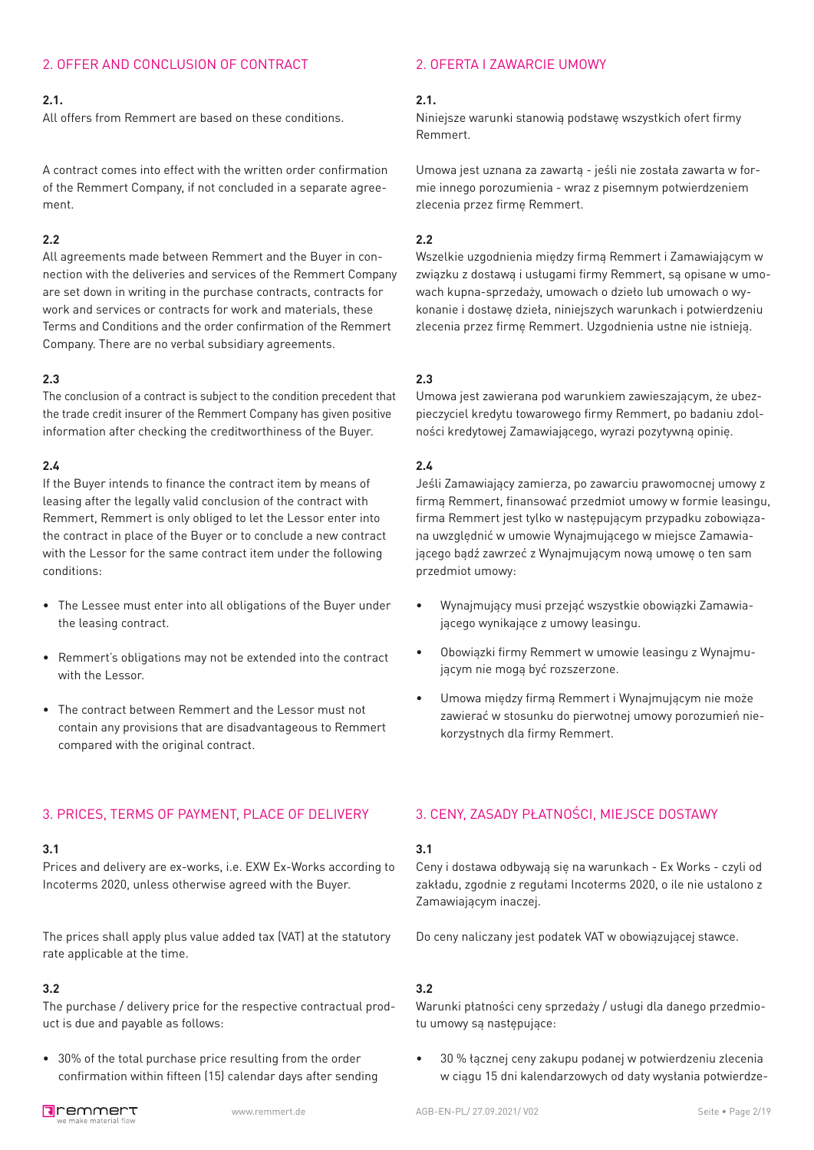# 2. OFFER AND CONCLUSION OF CONTRACT

#### **2.1.**

All offers from Remmert are based on these conditions.

A contract comes into effect with the written order confirmation of the Remmert Company, if not concluded in a separate agreement.

# **2.2**

All agreements made between Remmert and the Buyer in connection with the deliveries and services of the Remmert Company are set down in writing in the purchase contracts, contracts for work and services or contracts for work and materials, these Terms and Conditions and the order confirmation of the Remmert Company. There are no verbal subsidiary agreements.

# **2.3**

The conclusion of a contract is subject to the condition precedent that the trade credit insurer of the Remmert Company has given positive information after checking the creditworthiness of the Buyer.

# **2.4**

If the Buyer intends to finance the contract item by means of leasing after the legally valid conclusion of the contract with Remmert, Remmert is only obliged to let the Lessor enter into the contract in place of the Buyer or to conclude a new contract with the Lessor for the same contract item under the following conditions:

- The Lessee must enter into all obligations of the Buyer under the leasing contract.
- Remmert's obligations may not be extended into the contract with the Lessor.
- The contract between Remmert and the Lessor must not contain any provisions that are disadvantageous to Remmert compared with the original contract.

### 3. PRICES, TERMS OF PAYMENT, PLACE OF DELIVERY

# **3.1**

Prices and delivery are ex-works, i.e. EXW Ex-Works according to Incoterms 2020, unless otherwise agreed with the Buyer.

The prices shall apply plus value added tax (VAT) at the statutory rate applicable at the time.

### **3.2**

The purchase / delivery price for the respective contractual product is due and payable as follows:

• 30% of the total purchase price resulting from the order confirmation within fifteen (15) calendar days after sending

# 2. OFERTA I ZAWARCIE UMOWY

#### **2.1.**

Niniejsze warunki stanowią podstawę wszystkich ofert firmy Remmert.

Umowa jest uznana za zawartą - jeśli nie została zawarta w formie innego porozumienia - wraz z pisemnym potwierdzeniem zlecenia przez firmę Remmert.

# **2.2**

Wszelkie uzgodnienia między firmą Remmert i Zamawiającym w związku z dostawą i usługami firmy Remmert, są opisane w umowach kupna-sprzedaży, umowach o dzieło lub umowach o wykonanie i dostawę dzieła, niniejszych warunkach i potwierdzeniu zlecenia przez firmę Remmert. Uzgodnienia ustne nie istnieją.

# **2.3**

Umowa jest zawierana pod warunkiem zawieszającym, że ubezpieczyciel kredytu towarowego firmy Remmert, po badaniu zdolności kredytowej Zamawiającego, wyrazi pozytywną opinię.

# $2^{\frac{1}{4}}$

Jeśli Zamawiający zamierza, po zawarciu prawomocnej umowy z firmą Remmert, finansować przedmiot umowy w formie leasingu, firma Remmert jest tylko w następującym przypadku zobowiązana uwzględnić w umowie Wynajmującego w miejsce Zamawiającego bądź zawrzeć z Wynajmującym nową umowę o ten sam przedmiot umowy:

- Wynajmujący musi przejąć wszystkie obowiązki Zamawiającego wynikające z umowy leasingu.
- Obowiązki firmy Remmert w umowie leasingu z Wynajmującym nie mogą być rozszerzone.
- Umowa między firmą Remmert i Wynajmującym nie może zawierać w stosunku do pierwotnej umowy porozumień niekorzystnych dla firmy Remmert.

# 3. CENY, ZASADY PŁATNOŚCI, MIEJSCE DOSTAWY

#### **3.1**

Ceny i dostawa odbywają się na warunkach - Ex Works - czyli od zakładu, zgodnie z regułami Incoterms 2020, o ile nie ustalono z Zamawiającym inaczej.

Do ceny naliczany jest podatek VAT w obowiązującej stawce.

# **3.2**

Warunki płatności ceny sprzedaży / usługi dla danego przedmiotu umowy są następujące:

• 30 % łącznej ceny zakupu podanej w potwierdzeniu zlecenia w ciągu 15 dni kalendarzowych od daty wysłania potwierdze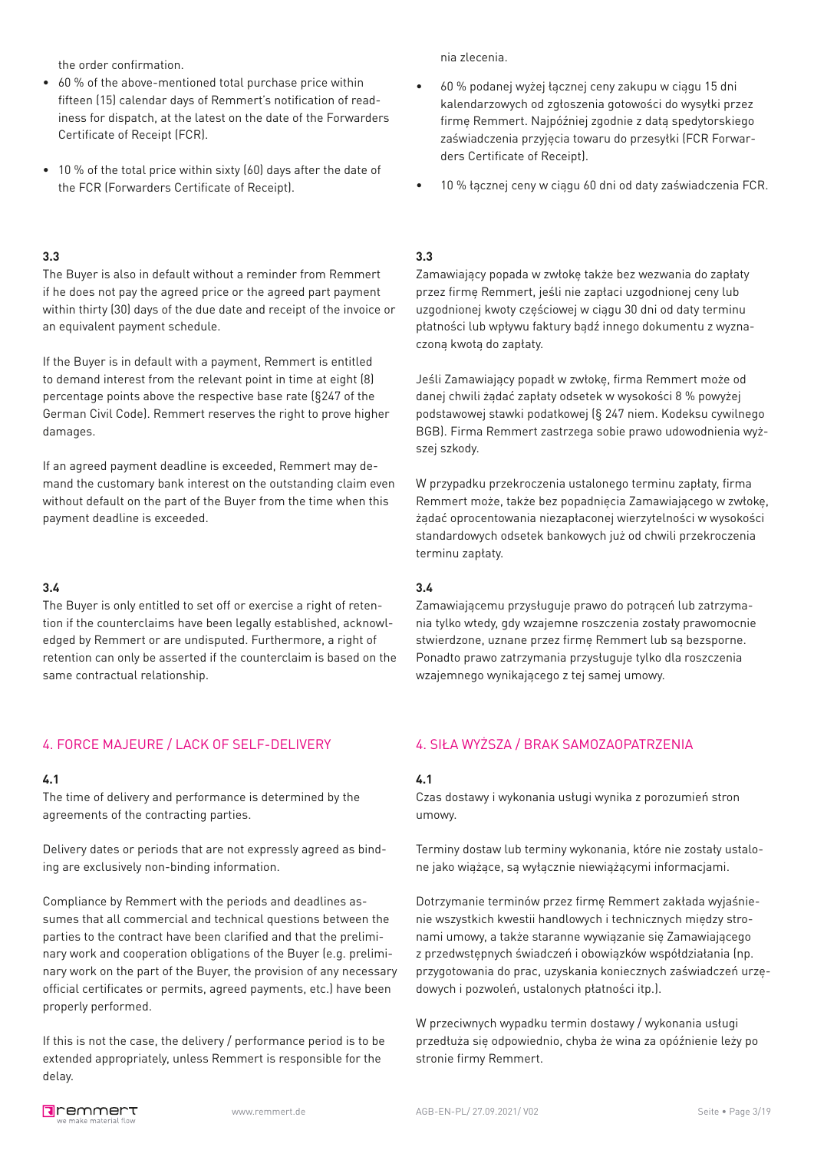the order confirmation.

- 60 % of the above-mentioned total purchase price within fifteen (15) calendar days of Remmert's notification of readiness for dispatch, at the latest on the date of the Forwarders Certificate of Receipt (FCR).
- 10 % of the total price within sixty (60) days after the date of the FCR (Forwarders Certificate of Receipt).

#### **3.3**

The Buyer is also in default without a reminder from Remmert if he does not pay the agreed price or the agreed part payment within thirty (30) days of the due date and receipt of the invoice or an equivalent payment schedule.

If the Buyer is in default with a payment, Remmert is entitled to demand interest from the relevant point in time at eight (8) percentage points above the respective base rate (§247 of the German Civil Code). Remmert reserves the right to prove higher damages.

If an agreed payment deadline is exceeded, Remmert may demand the customary bank interest on the outstanding claim even without default on the part of the Buyer from the time when this payment deadline is exceeded.

### **3.4**

The Buyer is only entitled to set off or exercise a right of retention if the counterclaims have been legally established, acknowledged by Remmert or are undisputed. Furthermore, a right of retention can only be asserted if the counterclaim is based on the same contractual relationship.

# 4. FORCE MAJEURE / LACK OF SELF-DELIVERY

# **4.1**

The time of delivery and performance is determined by the agreements of the contracting parties.

Delivery dates or periods that are not expressly agreed as binding are exclusively non-binding information.

Compliance by Remmert with the periods and deadlines assumes that all commercial and technical questions between the parties to the contract have been clarified and that the preliminary work and cooperation obligations of the Buyer (e.g. preliminary work on the part of the Buyer, the provision of any necessary official certificates or permits, agreed payments, etc.) have been properly performed.

If this is not the case, the delivery / performance period is to be extended appropriately, unless Remmert is responsible for the delay.

nia zlecenia.

- 60 % podanej wyżej łącznej ceny zakupu w ciągu 15 dni kalendarzowych od zgłoszenia gotowości do wysyłki przez firmę Remmert. Najpóźniej zgodnie z datą spedytorskiego zaświadczenia przyjęcia towaru do przesyłki (FCR Forwarders Certificate of Receipt).
- 10 % łącznej ceny w ciągu 60 dni od daty zaświadczenia FCR.

#### **3.3**

Zamawiający popada w zwłokę także bez wezwania do zapłaty przez firmę Remmert, jeśli nie zapłaci uzgodnionej ceny lub uzgodnionej kwoty częściowej w ciągu 30 dni od daty terminu płatności lub wpływu faktury bądź innego dokumentu z wyznaczoną kwotą do zapłaty.

Jeśli Zamawiający popadł w zwłokę, firma Remmert może od danej chwili żądać zapłaty odsetek w wysokości 8 % powyżej podstawowej stawki podatkowej (§ 247 niem. Kodeksu cywilnego BGB). Firma Remmert zastrzega sobie prawo udowodnienia wyższej szkody.

W przypadku przekroczenia ustalonego terminu zapłaty, firma Remmert może, także bez popadnięcia Zamawiającego w zwłokę, żądać oprocentowania niezapłaconej wierzytelności w wysokości standardowych odsetek bankowych już od chwili przekroczenia terminu zapłaty.

### **3.4**

Zamawiającemu przysługuje prawo do potrąceń lub zatrzymania tylko wtedy, gdy wzajemne roszczenia zostały prawomocnie stwierdzone, uznane przez firmę Remmert lub są bezsporne. Ponadto prawo zatrzymania przysługuje tylko dla roszczenia wzajemnego wynikającego z tej samej umowy.

### 4. SIŁA WYŻSZA / BRAK SAMOZAOPATRZENIA

#### **4.1**

Czas dostawy i wykonania usługi wynika z porozumień stron umowy.

Terminy dostaw lub terminy wykonania, które nie zostały ustalone jako wiążące, są wyłącznie niewiążącymi informacjami.

Dotrzymanie terminów przez firmę Remmert zakłada wyjaśnienie wszystkich kwestii handlowych i technicznych między stronami umowy, a także staranne wywiązanie się Zamawiającego z przedwstępnych świadczeń i obowiązków współdziałania (np. przygotowania do prac, uzyskania koniecznych zaświadczeń urzędowych i pozwoleń, ustalonych płatności itp.).

W przeciwnych wypadku termin dostawy / wykonania usługi przedłuża się odpowiednio, chyba że wina za opóźnienie leży po stronie firmy Remmert.

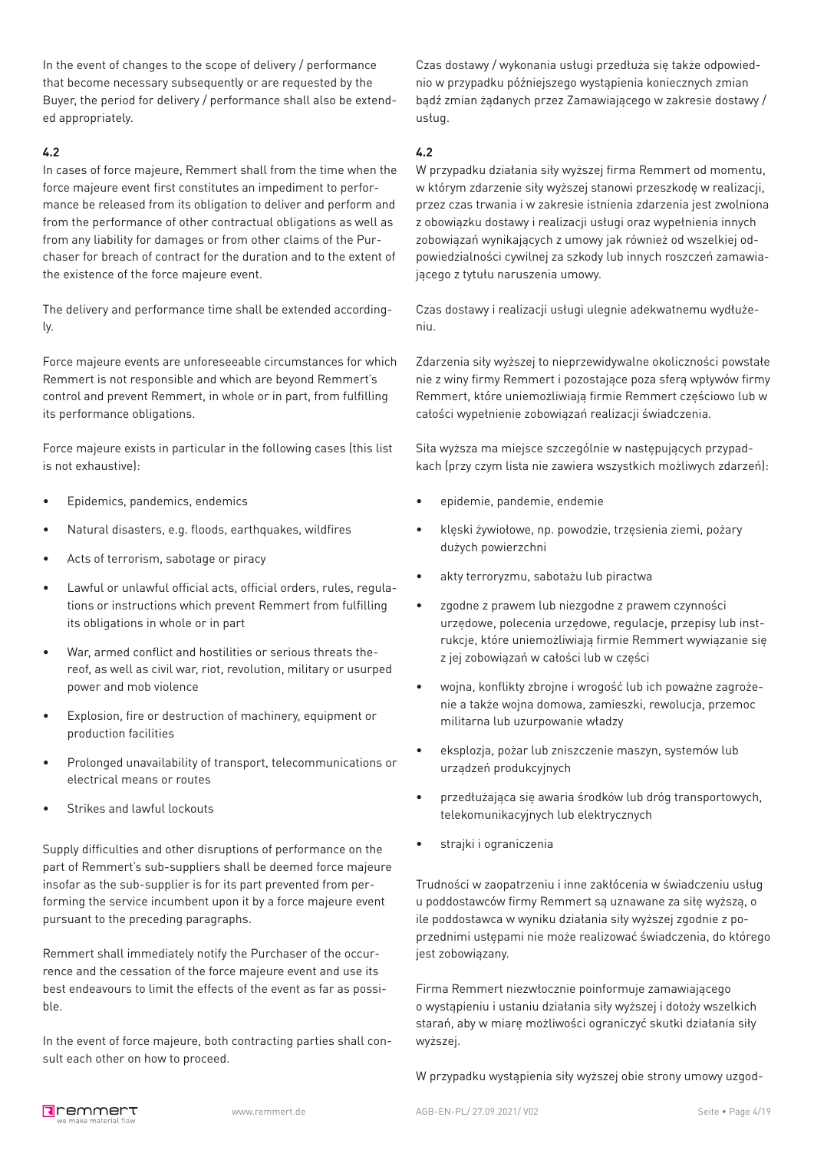In the event of changes to the scope of delivery / performance that become necessary subsequently or are requested by the Buyer, the period for delivery / performance shall also be extended appropriately.

### **4.2**

In cases of force majeure, Remmert shall from the time when the force majeure event first constitutes an impediment to performance be released from its obligation to deliver and perform and from the performance of other contractual obligations as well as from any liability for damages or from other claims of the Purchaser for breach of contract for the duration and to the extent of the existence of the force majeure event.

The delivery and performance time shall be extended accordingly.

Force majeure events are unforeseeable circumstances for which Remmert is not responsible and which are beyond Remmert's control and prevent Remmert, in whole or in part, from fulfilling its performance obligations.

Force majeure exists in particular in the following cases (this list is not exhaustive):

- Epidemics, pandemics, endemics
- Natural disasters, e.g. floods, earthquakes, wildfires
- Acts of terrorism, sabotage or piracy
- Lawful or unlawful official acts, official orders, rules, regulations or instructions which prevent Remmert from fulfilling its obligations in whole or in part
- War, armed conflict and hostilities or serious threats thereof, as well as civil war, riot, revolution, military or usurped power and mob violence
- Explosion, fire or destruction of machinery, equipment or production facilities
- Prolonged unavailability of transport, telecommunications or electrical means or routes
- Strikes and lawful lockouts

Supply difficulties and other disruptions of performance on the part of Remmert's sub-suppliers shall be deemed force majeure insofar as the sub-supplier is for its part prevented from performing the service incumbent upon it by a force majeure event pursuant to the preceding paragraphs.

Remmert shall immediately notify the Purchaser of the occurrence and the cessation of the force majeure event and use its best endeavours to limit the effects of the event as far as possible.

In the event of force majeure, both contracting parties shall consult each other on how to proceed.

Czas dostawy / wykonania usługi przedłuża się także odpowiednio w przypadku późniejszego wystąpienia koniecznych zmian bądź zmian żądanych przez Zamawiającego w zakresie dostawy / usług.

## **4.2**

W przypadku działania siły wyższej firma Remmert od momentu, w którym zdarzenie siły wyższej stanowi przeszkodę w realizacji, przez czas trwania i w zakresie istnienia zdarzenia jest zwolniona z obowiązku dostawy i realizacji usługi oraz wypełnienia innych zobowiązań wynikających z umowy jak również od wszelkiej odpowiedzialności cywilnej za szkody lub innych roszczeń zamawiającego z tytułu naruszenia umowy.

Czas dostawy i realizacji usługi ulegnie adekwatnemu wydłużeniu.

Zdarzenia siły wyższej to nieprzewidywalne okoliczności powstałe nie z winy firmy Remmert i pozostające poza sferą wpływów firmy Remmert, które uniemożliwiają firmie Remmert częściowo lub w całości wypełnienie zobowiązań realizacji świadczenia.

Siła wyższa ma miejsce szczególnie w następujących przypadkach (przy czym lista nie zawiera wszystkich możliwych zdarzeń):

- epidemie, pandemie, endemie
- klęski żywiołowe, np. powodzie, trzęsienia ziemi, pożary dużych powierzchni
- akty terroryzmu, sabotażu lub piractwa
- zgodne z prawem lub niezgodne z prawem czynności urzędowe, polecenia urzędowe, regulacje, przepisy lub instrukcje, które uniemożliwiają firmie Remmert wywiązanie się z jej zobowiązań w całości lub w części
- wojna, konflikty zbrojne i wrogość lub ich poważne zagrożenie a także wojna domowa, zamieszki, rewolucja, przemoc militarna lub uzurpowanie władzy
- eksplozja, pożar lub zniszczenie maszyn, systemów lub urządzeń produkcyjnych
- przedłużająca się awaria środków lub dróg transportowych, telekomunikacyjnych lub elektrycznych
- strajki i ograniczenia

Trudności w zaopatrzeniu i inne zakłócenia w świadczeniu usług u poddostawców firmy Remmert są uznawane za siłę wyższą, o ile poddostawca w wyniku działania siły wyższej zgodnie z poprzednimi ustępami nie może realizować świadczenia, do którego jest zobowiązany.

Firma Remmert niezwłocznie poinformuje zamawiającego o wystąpieniu i ustaniu działania siły wyższej i dołoży wszelkich starań, aby w miarę możliwości ograniczyć skutki działania siły wyższej.

W przypadku wystąpienia siły wyższej obie strony umowy uzgod-

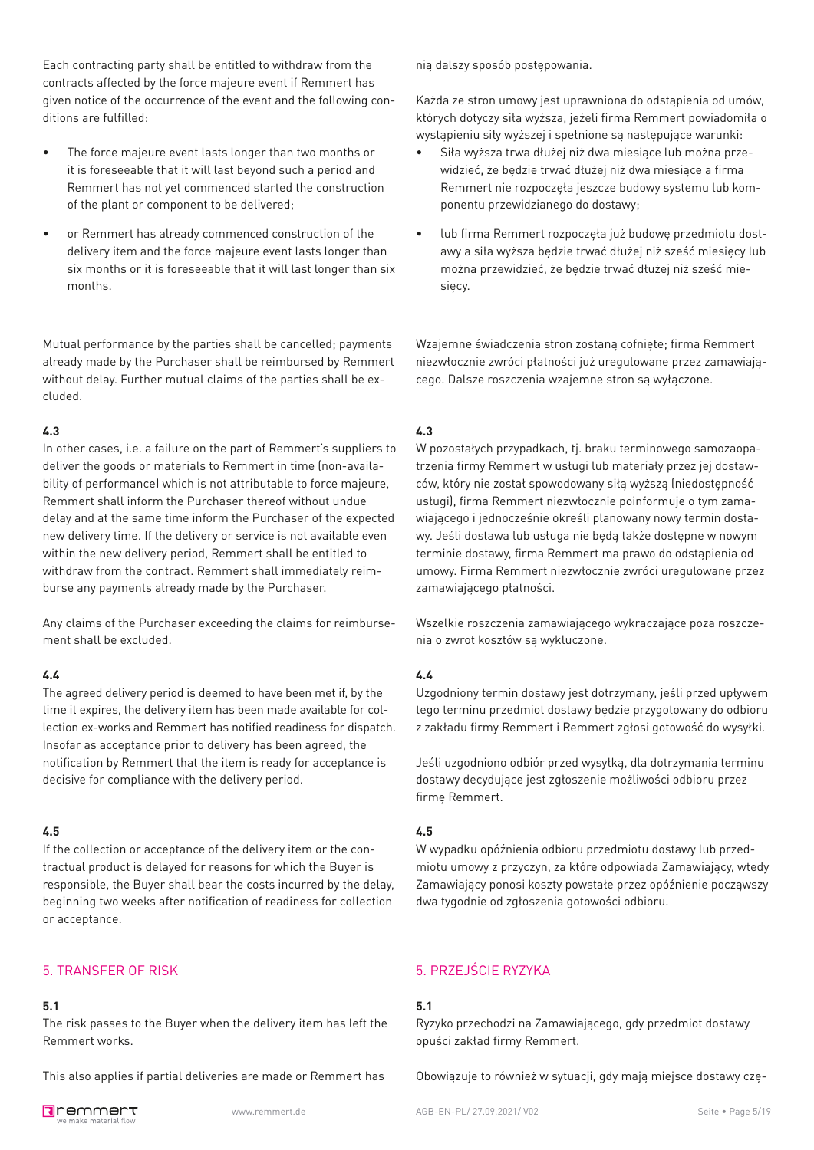Each contracting party shall be entitled to withdraw from the contracts affected by the force majeure event if Remmert has given notice of the occurrence of the event and the following conditions are fulfilled:

- The force majeure event lasts longer than two months or it is foreseeable that it will last beyond such a period and Remmert has not yet commenced started the construction of the plant or component to be delivered;
- or Remmert has already commenced construction of the delivery item and the force majeure event lasts longer than six months or it is foreseeable that it will last longer than six months.

Mutual performance by the parties shall be cancelled; payments already made by the Purchaser shall be reimbursed by Remmert without delay. Further mutual claims of the parties shall be excluded.

#### **4.3**

In other cases, i.e. a failure on the part of Remmert's suppliers to deliver the goods or materials to Remmert in time (non-availability of performance) which is not attributable to force majeure, Remmert shall inform the Purchaser thereof without undue delay and at the same time inform the Purchaser of the expected new delivery time. If the delivery or service is not available even within the new delivery period, Remmert shall be entitled to withdraw from the contract. Remmert shall immediately reimburse any payments already made by the Purchaser.

Any claims of the Purchaser exceeding the claims for reimbursement shall be excluded.

### **4.4**

The agreed delivery period is deemed to have been met if, by the time it expires, the delivery item has been made available for collection ex-works and Remmert has notified readiness for dispatch. Insofar as acceptance prior to delivery has been agreed, the notification by Remmert that the item is ready for acceptance is decisive for compliance with the delivery period.

### **4.5**

If the collection or acceptance of the delivery item or the contractual product is delayed for reasons for which the Buyer is responsible, the Buyer shall bear the costs incurred by the delay, beginning two weeks after notification of readiness for collection or acceptance.

# 5. TRANSFER OF RISK

# **5.1**

The risk passes to the Buyer when the delivery item has left the Remmert works.

This also applies if partial deliveries are made or Remmert has

nią dalszy sposób postępowania.

Każda ze stron umowy jest uprawniona do odstąpienia od umów, których dotyczy siła wyższa, jeżeli firma Remmert powiadomiła o wystąpieniu siły wyższej i spełnione są następujące warunki:

- Siła wyższa trwa dłużej niż dwa miesiące lub można przewidzieć, że będzie trwać dłużej niż dwa miesiące a firma Remmert nie rozpoczęła jeszcze budowy systemu lub komponentu przewidzianego do dostawy;
- lub firma Remmert rozpoczęła już budowę przedmiotu dostawy a siła wyższa będzie trwać dłużej niż sześć miesięcy lub można przewidzieć, że będzie trwać dłużej niż sześć miesięcy.

Wzajemne świadczenia stron zostaną cofnięte; firma Remmert niezwłocznie zwróci płatności już uregulowane przez zamawiającego. Dalsze roszczenia wzajemne stron są wyłączone.

# **4.3**

W pozostałych przypadkach, tj. braku terminowego samozaopatrzenia firmy Remmert w usługi lub materiały przez jej dostawców, który nie został spowodowany siłą wyższą (niedostępność usługi), firma Remmert niezwłocznie poinformuje o tym zamawiającego i jednocześnie określi planowany nowy termin dostawy. Jeśli dostawa lub usługa nie będą także dostępne w nowym terminie dostawy, firma Remmert ma prawo do odstąpienia od umowy. Firma Remmert niezwłocznie zwróci uregulowane przez zamawiającego płatności.

Wszelkie roszczenia zamawiającego wykraczające poza roszczenia o zwrot kosztów są wykluczone.

### **4.4**

Uzgodniony termin dostawy jest dotrzymany, jeśli przed upływem tego terminu przedmiot dostawy będzie przygotowany do odbioru z zakładu firmy Remmert i Remmert zgłosi gotowość do wysyłki.

Jeśli uzgodniono odbiór przed wysyłką, dla dotrzymania terminu dostawy decydujące jest zgłoszenie możliwości odbioru przez firmę Remmert.

### **4.5**

W wypadku opóźnienia odbioru przedmiotu dostawy lub przedmiotu umowy z przyczyn, za które odpowiada Zamawiający, wtedy Zamawiający ponosi koszty powstałe przez opóźnienie począwszy dwa tygodnie od zgłoszenia gotowości odbioru.

# 5. PRZEJŚCIE RYZYKA

# **5.1**

Ryzyko przechodzi na Zamawiającego, gdy przedmiot dostawy opuści zakład firmy Remmert.

Obowiązuje to również w sytuacji, gdy mają miejsce dostawy czę-

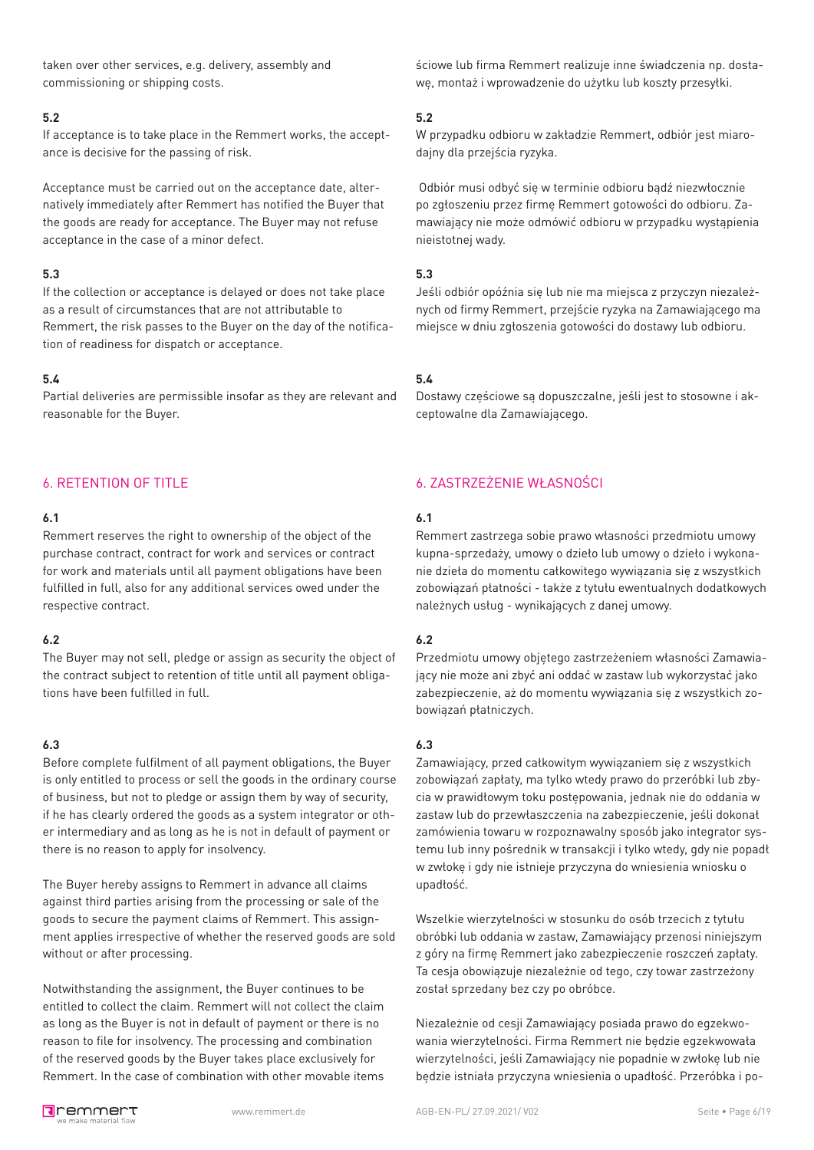taken over other services, e.g. delivery, assembly and commissioning or shipping costs.

#### **5.2**

If acceptance is to take place in the Remmert works, the acceptance is decisive for the passing of risk.

Acceptance must be carried out on the acceptance date, alternatively immediately after Remmert has notified the Buyer that the goods are ready for acceptance. The Buyer may not refuse acceptance in the case of a minor defect.

### **5.3**

If the collection or acceptance is delayed or does not take place as a result of circumstances that are not attributable to Remmert, the risk passes to the Buyer on the day of the notification of readiness for dispatch or acceptance.

# **5.4**

Partial deliveries are permissible insofar as they are relevant and reasonable for the Buyer.

# 6. RETENTION OF TITLE

# **6.1**

Remmert reserves the right to ownership of the object of the purchase contract, contract for work and services or contract for work and materials until all payment obligations have been fulfilled in full, also for any additional services owed under the respective contract.

# **6.2**

The Buyer may not sell, pledge or assign as security the object of the contract subject to retention of title until all payment obligations have been fulfilled in full.

# **6.3**

Before complete fulfilment of all payment obligations, the Buyer is only entitled to process or sell the goods in the ordinary course of business, but not to pledge or assign them by way of security, if he has clearly ordered the goods as a system integrator or other intermediary and as long as he is not in default of payment or there is no reason to apply for insolvency.

The Buyer hereby assigns to Remmert in advance all claims against third parties arising from the processing or sale of the goods to secure the payment claims of Remmert. This assignment applies irrespective of whether the reserved goods are sold without or after processing.

Notwithstanding the assignment, the Buyer continues to be entitled to collect the claim. Remmert will not collect the claim as long as the Buyer is not in default of payment or there is no reason to file for insolvency. The processing and combination of the reserved goods by the Buyer takes place exclusively for Remmert. In the case of combination with other movable items ściowe lub firma Remmert realizuje inne świadczenia np. dostawę, montaż i wprowadzenie do użytku lub koszty przesyłki.

### **5.2**

W przypadku odbioru w zakładzie Remmert, odbiór jest miarodajny dla przejścia ryzyka.

 Odbiór musi odbyć się w terminie odbioru bądź niezwłocznie po zgłoszeniu przez firmę Remmert gotowości do odbioru. Zamawiający nie może odmówić odbioru w przypadku wystąpienia nieistotnej wady.

### **5.3**

Jeśli odbiór opóźnia się lub nie ma miejsca z przyczyn niezależnych od firmy Remmert, przejście ryzyka na Zamawiającego ma miejsce w dniu zgłoszenia gotowości do dostawy lub odbioru.

# **5.4**

Dostawy częściowe są dopuszczalne, jeśli jest to stosowne i akceptowalne dla Zamawiającego.

# 6. ZASTRZEŻENIE WŁASNOŚCI

# **6.1**

Remmert zastrzega sobie prawo własności przedmiotu umowy kupna-sprzedaży, umowy o dzieło lub umowy o dzieło i wykonanie dzieła do momentu całkowitego wywiązania się z wszystkich zobowiązań płatności - także z tytułu ewentualnych dodatkowych należnych usług - wynikających z danej umowy.

# **6.2**

Przedmiotu umowy objętego zastrzeżeniem własności Zamawiający nie może ani zbyć ani oddać w zastaw lub wykorzystać jako zabezpieczenie, aż do momentu wywiązania się z wszystkich zobowiązań płatniczych.

# **6.3**

Zamawiający, przed całkowitym wywiązaniem się z wszystkich zobowiązań zapłaty, ma tylko wtedy prawo do przeróbki lub zbycia w prawidłowym toku postępowania, jednak nie do oddania w zastaw lub do przewłaszczenia na zabezpieczenie, jeśli dokonał zamówienia towaru w rozpoznawalny sposób jako integrator systemu lub inny pośrednik w transakcji i tylko wtedy, gdy nie popadł w zwłokę i gdy nie istnieje przyczyna do wniesienia wniosku o upadłość.

Wszelkie wierzytelności w stosunku do osób trzecich z tytułu obróbki lub oddania w zastaw, Zamawiający przenosi niniejszym z góry na firmę Remmert jako zabezpieczenie roszczeń zapłaty. Ta cesja obowiązuje niezależnie od tego, czy towar zastrzeżony został sprzedany bez czy po obróbce.

Niezależnie od cesji Zamawiający posiada prawo do egzekwowania wierzytelności. Firma Remmert nie będzie egzekwowała wierzytelności, jeśli Zamawiający nie popadnie w zwłokę lub nie będzie istniała przyczyna wniesienia o upadłość. Przeróbka i po-

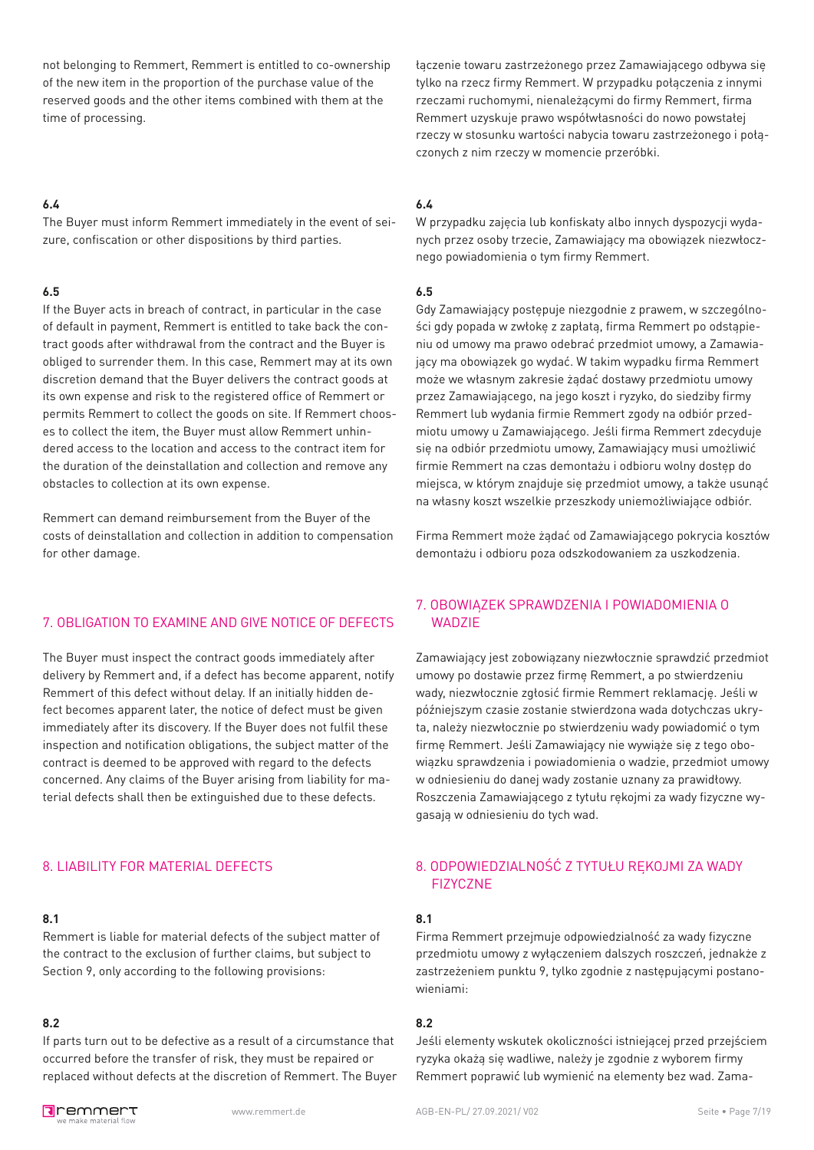not belonging to Remmert, Remmert is entitled to co-ownership of the new item in the proportion of the purchase value of the reserved goods and the other items combined with them at the time of processing.

### **6.4**

The Buyer must inform Remmert immediately in the event of seizure, confiscation or other dispositions by third parties.

### **6.5**

If the Buyer acts in breach of contract, in particular in the case of default in payment, Remmert is entitled to take back the contract goods after withdrawal from the contract and the Buyer is obliged to surrender them. In this case, Remmert may at its own discretion demand that the Buyer delivers the contract goods at its own expense and risk to the registered office of Remmert or permits Remmert to collect the goods on site. If Remmert chooses to collect the item, the Buyer must allow Remmert unhindered access to the location and access to the contract item for the duration of the deinstallation and collection and remove any obstacles to collection at its own expense.

Remmert can demand reimbursement from the Buyer of the costs of deinstallation and collection in addition to compensation for other damage.

### 7. OBLIGATION TO EXAMINE AND GIVE NOTICE OF DEFECTS

The Buyer must inspect the contract goods immediately after delivery by Remmert and, if a defect has become apparent, notify Remmert of this defect without delay. If an initially hidden defect becomes apparent later, the notice of defect must be given immediately after its discovery. If the Buyer does not fulfil these inspection and notification obligations, the subject matter of the contract is deemed to be approved with regard to the defects concerned. Any claims of the Buyer arising from liability for material defects shall then be extinguished due to these defects.

# 8. LIABILITY FOR MATERIAL DEFECTS

# **8.1**

Remmert is liable for material defects of the subject matter of the contract to the exclusion of further claims, but subject to Section 9, only according to the following provisions:

# **8.2**

If parts turn out to be defective as a result of a circumstance that occurred before the transfer of risk, they must be repaired or replaced without defects at the discretion of Remmert. The Buyer



# **6.4**

W przypadku zajęcia lub konfiskaty albo innych dyspozycji wydanych przez osoby trzecie, Zamawiający ma obowiązek niezwłocznego powiadomienia o tym firmy Remmert.

### **6.5**

Gdy Zamawiający postępuje niezgodnie z prawem, w szczególności gdy popada w zwłokę z zapłatą, firma Remmert po odstąpieniu od umowy ma prawo odebrać przedmiot umowy, a Zamawiający ma obowiązek go wydać. W takim wypadku firma Remmert może we własnym zakresie żądać dostawy przedmiotu umowy przez Zamawiającego, na jego koszt i ryzyko, do siedziby firmy Remmert lub wydania firmie Remmert zgody na odbiór przedmiotu umowy u Zamawiającego. Jeśli firma Remmert zdecyduje się na odbiór przedmiotu umowy, Zamawiający musi umożliwić firmie Remmert na czas demontażu i odbioru wolny dostęp do miejsca, w którym znajduje się przedmiot umowy, a także usunąć na własny koszt wszelkie przeszkody uniemożliwiające odbiór.

Firma Remmert może żądać od Zamawiającego pokrycia kosztów demontażu i odbioru poza odszkodowaniem za uszkodzenia.

# 7. OBOWIĄZEK SPRAWDZENIA I POWIADOMIENIA O WADZIE

Zamawiający jest zobowiązany niezwłocznie sprawdzić przedmiot umowy po dostawie przez firmę Remmert, a po stwierdzeniu wady, niezwłocznie zgłosić firmie Remmert reklamację. Jeśli w późniejszym czasie zostanie stwierdzona wada dotychczas ukryta, należy niezwłocznie po stwierdzeniu wady powiadomić o tym firmę Remmert. Jeśli Zamawiający nie wywiąże się z tego obowiązku sprawdzenia i powiadomienia o wadzie, przedmiot umowy w odniesieniu do danej wady zostanie uznany za prawidłowy. Roszczenia Zamawiającego z tytułu rękojmi za wady fizyczne wygasają w odniesieniu do tych wad.

# 8. ODPOWIEDZIALNOŚĆ Z TYTUŁU RĘKOJMI ZA WADY FIZYCZNE

### **8.1**

Firma Remmert przejmuje odpowiedzialność za wady fizyczne przedmiotu umowy z wyłączeniem dalszych roszczeń, jednakże z zastrzeżeniem punktu 9, tylko zgodnie z następującymi postanowieniami:

#### **8.2**

Jeśli elementy wskutek okoliczności istniejącej przed przejściem ryzyka okażą się wadliwe, należy je zgodnie z wyborem firmy Remmert poprawić lub wymienić na elementy bez wad. Zama-

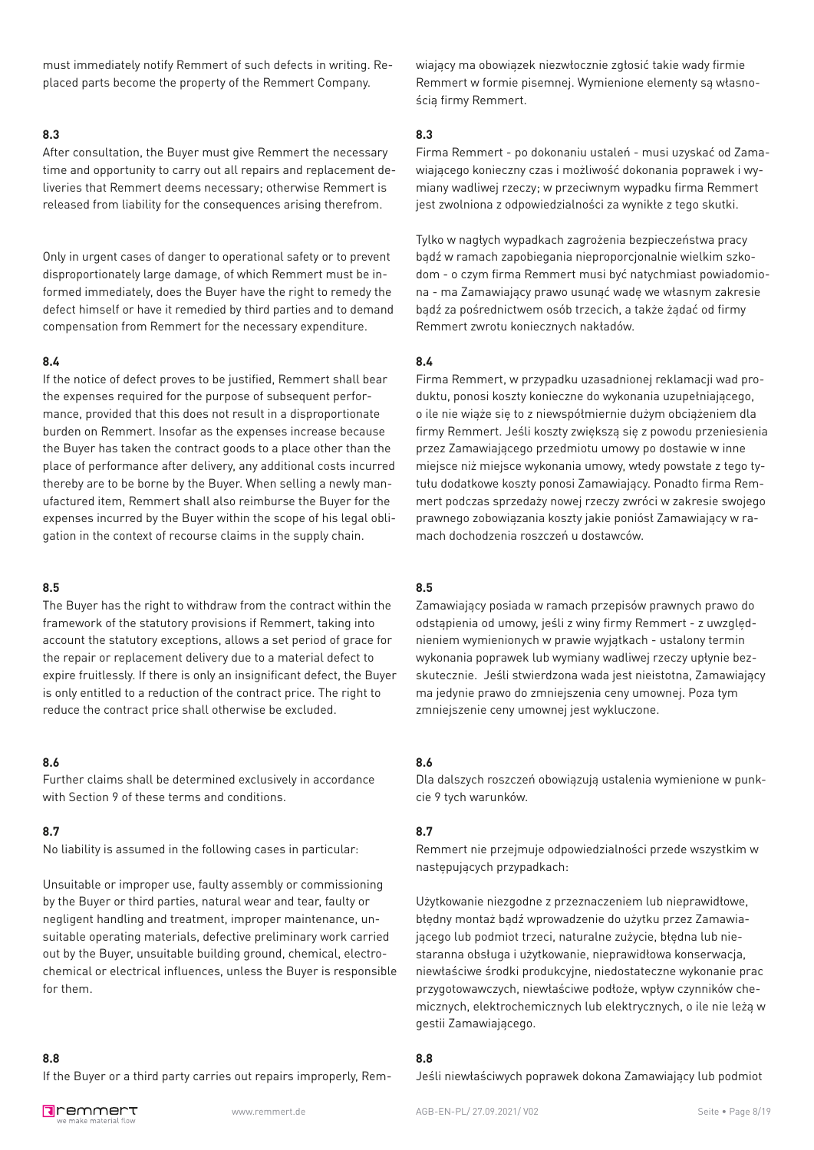must immediately notify Remmert of such defects in writing. Replaced parts become the property of the Remmert Company.

#### **8.3**

After consultation, the Buyer must give Remmert the necessary time and opportunity to carry out all repairs and replacement deliveries that Remmert deems necessary; otherwise Remmert is released from liability for the consequences arising therefrom.

Only in urgent cases of danger to operational safety or to prevent disproportionately large damage, of which Remmert must be informed immediately, does the Buyer have the right to remedy the defect himself or have it remedied by third parties and to demand compensation from Remmert for the necessary expenditure.

#### **8.4**

If the notice of defect proves to be justified, Remmert shall bear the expenses required for the purpose of subsequent performance, provided that this does not result in a disproportionate burden on Remmert. Insofar as the expenses increase because the Buyer has taken the contract goods to a place other than the place of performance after delivery, any additional costs incurred thereby are to be borne by the Buyer. When selling a newly manufactured item, Remmert shall also reimburse the Buyer for the expenses incurred by the Buyer within the scope of his legal obligation in the context of recourse claims in the supply chain.

### **8.5**

The Buyer has the right to withdraw from the contract within the framework of the statutory provisions if Remmert, taking into account the statutory exceptions, allows a set period of grace for the repair or replacement delivery due to a material defect to expire fruitlessly. If there is only an insignificant defect, the Buyer is only entitled to a reduction of the contract price. The right to reduce the contract price shall otherwise be excluded.

### **8.6**

Further claims shall be determined exclusively in accordance with Section 9 of these terms and conditions.

### **8.7**

No liability is assumed in the following cases in particular:

Unsuitable or improper use, faulty assembly or commissioning by the Buyer or third parties, natural wear and tear, faulty or negligent handling and treatment, improper maintenance, unsuitable operating materials, defective preliminary work carried out by the Buyer, unsuitable building ground, chemical, electrochemical or electrical influences, unless the Buyer is responsible for them.

#### **8.8**

If the Buyer or a third party carries out repairs improperly, Rem-

wiający ma obowiązek niezwłocznie zgłosić takie wady firmie Remmert w formie pisemnej. Wymienione elementy są własnością firmy Remmert.

### **8.3**

Firma Remmert - po dokonaniu ustaleń - musi uzyskać od Zamawiającego konieczny czas i możliwość dokonania poprawek i wymiany wadliwej rzeczy; w przeciwnym wypadku firma Remmert jest zwolniona z odpowiedzialności za wynikłe z tego skutki.

Tylko w nagłych wypadkach zagrożenia bezpieczeństwa pracy bądź w ramach zapobiegania nieproporcjonalnie wielkim szkodom - o czym firma Remmert musi być natychmiast powiadomiona - ma Zamawiający prawo usunąć wadę we własnym zakresie bądź za pośrednictwem osób trzecich, a także żądać od firmy Remmert zwrotu koniecznych nakładów.

# **8.4**

Firma Remmert, w przypadku uzasadnionej reklamacji wad produktu, ponosi koszty konieczne do wykonania uzupełniającego, o ile nie wiąże się to z niewspółmiernie dużym obciążeniem dla firmy Remmert. Jeśli koszty zwiększą się z powodu przeniesienia przez Zamawiającego przedmiotu umowy po dostawie w inne miejsce niż miejsce wykonania umowy, wtedy powstałe z tego tytułu dodatkowe koszty ponosi Zamawiający. Ponadto firma Remmert podczas sprzedaży nowej rzeczy zwróci w zakresie swojego prawnego zobowiązania koszty jakie poniósł Zamawiający w ramach dochodzenia roszczeń u dostawców.

# **8.5**

Zamawiający posiada w ramach przepisów prawnych prawo do odstąpienia od umowy, jeśli z winy firmy Remmert - z uwzględnieniem wymienionych w prawie wyjątkach - ustalony termin wykonania poprawek lub wymiany wadliwej rzeczy upłynie bezskutecznie. Jeśli stwierdzona wada jest nieistotna, Zamawiający ma jedynie prawo do zmniejszenia ceny umownej. Poza tym zmniejszenie ceny umownej jest wykluczone.

# **8.6**

Dla dalszych roszczeń obowiązują ustalenia wymienione w punkcie 9 tych warunków.

### **8.7**

Remmert nie przejmuje odpowiedzialności przede wszystkim w następujących przypadkach:

Użytkowanie niezgodne z przeznaczeniem lub nieprawidłowe, błędny montaż bądź wprowadzenie do użytku przez Zamawiającego lub podmiot trzeci, naturalne zużycie, błędna lub niestaranna obsługa i użytkowanie, nieprawidłowa konserwacja, niewłaściwe środki produkcyjne, niedostateczne wykonanie prac przygotowawczych, niewłaściwe podłoże, wpływ czynników chemicznych, elektrochemicznych lub elektrycznych, o ile nie leżą w gestii Zamawiającego.

#### **8.8**

Jeśli niewłaściwych poprawek dokona Zamawiający lub podmiot

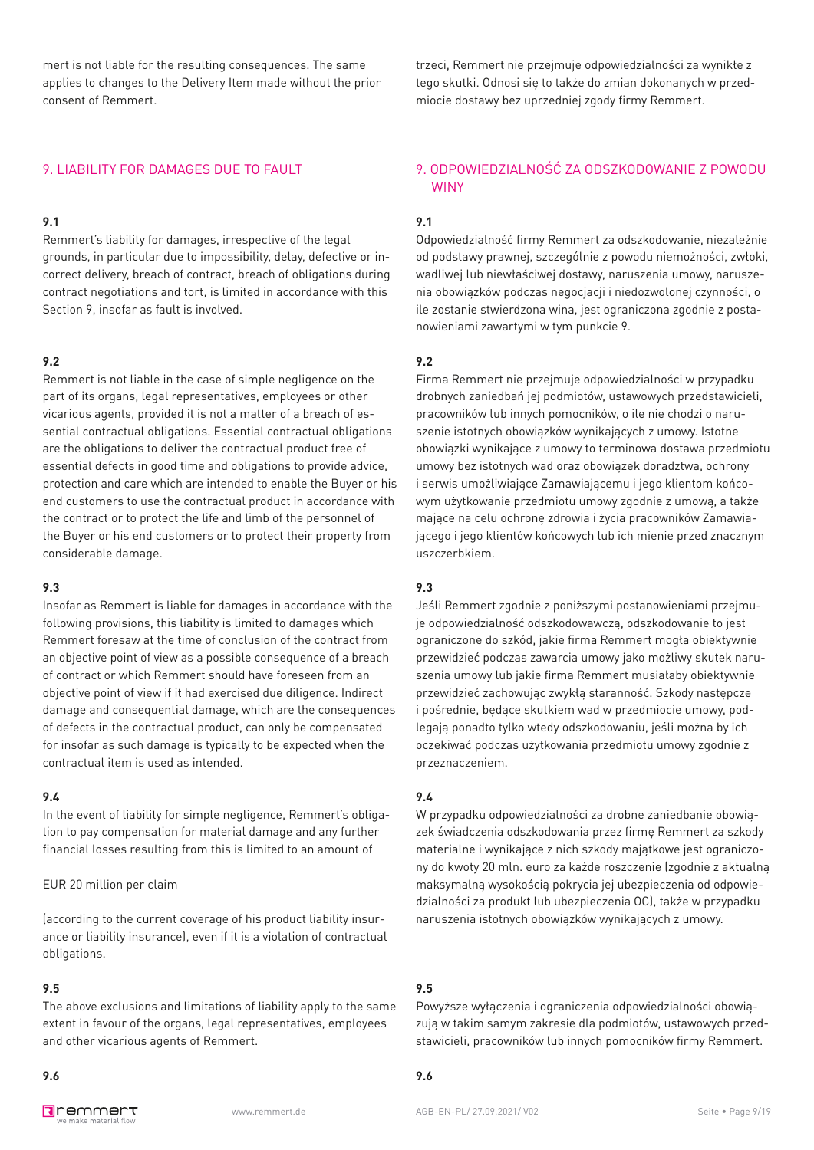mert is not liable for the resulting consequences. The same applies to changes to the Delivery Item made without the prior consent of Remmert.

#### 9. LIABILITY FOR DAMAGES DUE TO FAULT

#### **9.1**

Remmert's liability for damages, irrespective of the legal grounds, in particular due to impossibility, delay, defective or incorrect delivery, breach of contract, breach of obligations during contract negotiations and tort, is limited in accordance with this Section 9, insofar as fault is involved.

#### **9.2**

Remmert is not liable in the case of simple negligence on the part of its organs, legal representatives, employees or other vicarious agents, provided it is not a matter of a breach of essential contractual obligations. Essential contractual obligations are the obligations to deliver the contractual product free of essential defects in good time and obligations to provide advice, protection and care which are intended to enable the Buyer or his end customers to use the contractual product in accordance with the contract or to protect the life and limb of the personnel of the Buyer or his end customers or to protect their property from considerable damage.

#### **9.3**

Insofar as Remmert is liable for damages in accordance with the following provisions, this liability is limited to damages which Remmert foresaw at the time of conclusion of the contract from an objective point of view as a possible consequence of a breach of contract or which Remmert should have foreseen from an objective point of view if it had exercised due diligence. Indirect damage and consequential damage, which are the consequences of defects in the contractual product, can only be compensated for insofar as such damage is typically to be expected when the contractual item is used as intended.

#### **9.4**

In the event of liability for simple negligence, Remmert's obligation to pay compensation for material damage and any further financial losses resulting from this is limited to an amount of

#### EUR 20 million per claim

(according to the current coverage of his product liability insurance or liability insurance), even if it is a violation of contractual obligations.

#### **9.5**

The above exclusions and limitations of liability apply to the same extent in favour of the organs, legal representatives, employees and other vicarious agents of Remmert.

**9.6**

trzeci, Remmert nie przejmuje odpowiedzialności za wynikłe z tego skutki. Odnosi się to także do zmian dokonanych w przedmiocie dostawy bez uprzedniej zgody firmy Remmert.

# 9. ODPOWIEDZIALNOŚĆ ZA ODSZKODOWANIE Z POWODU WINY

#### **9.1**

Odpowiedzialność firmy Remmert za odszkodowanie, niezależnie od podstawy prawnej, szczególnie z powodu niemożności, zwłoki, wadliwej lub niewłaściwej dostawy, naruszenia umowy, naruszenia obowiązków podczas negocjacji i niedozwolonej czynności, o ile zostanie stwierdzona wina, jest ograniczona zgodnie z postanowieniami zawartymi w tym punkcie 9.

#### **9.2**

Firma Remmert nie przejmuje odpowiedzialności w przypadku drobnych zaniedbań jej podmiotów, ustawowych przedstawicieli, pracowników lub innych pomocników, o ile nie chodzi o naruszenie istotnych obowiązków wynikających z umowy. Istotne obowiązki wynikające z umowy to terminowa dostawa przedmiotu umowy bez istotnych wad oraz obowiązek doradztwa, ochrony i serwis umożliwiające Zamawiającemu i jego klientom końcowym użytkowanie przedmiotu umowy zgodnie z umową, a także mające na celu ochronę zdrowia i życia pracowników Zamawiającego i jego klientów końcowych lub ich mienie przed znacznym uszczerbkiem.

### **9.3**

Jeśli Remmert zgodnie z poniższymi postanowieniami przejmuje odpowiedzialność odszkodowawczą, odszkodowanie to jest ograniczone do szkód, jakie firma Remmert mogła obiektywnie przewidzieć podczas zawarcia umowy jako możliwy skutek naruszenia umowy lub jakie firma Remmert musiałaby obiektywnie przewidzieć zachowując zwykłą staranność. Szkody następcze i pośrednie, będące skutkiem wad w przedmiocie umowy, podlegają ponadto tylko wtedy odszkodowaniu, jeśli można by ich oczekiwać podczas użytkowania przedmiotu umowy zgodnie z przeznaczeniem.

#### **9.4**

W przypadku odpowiedzialności za drobne zaniedbanie obowiązek świadczenia odszkodowania przez firmę Remmert za szkody materialne i wynikające z nich szkody majątkowe jest ograniczony do kwoty 20 mln. euro za każde roszczenie (zgodnie z aktualną maksymalną wysokością pokrycia jej ubezpieczenia od odpowiedzialności za produkt lub ubezpieczenia OC), także w przypadku naruszenia istotnych obowiązków wynikających z umowy.

#### **9.5**

Powyższe wyłączenia i ograniczenia odpowiedzialności obowiązują w takim samym zakresie dla podmiotów, ustawowych przedstawicieli, pracowników lub innych pomocników firmy Remmert.

#### **9.6**

**R**remmert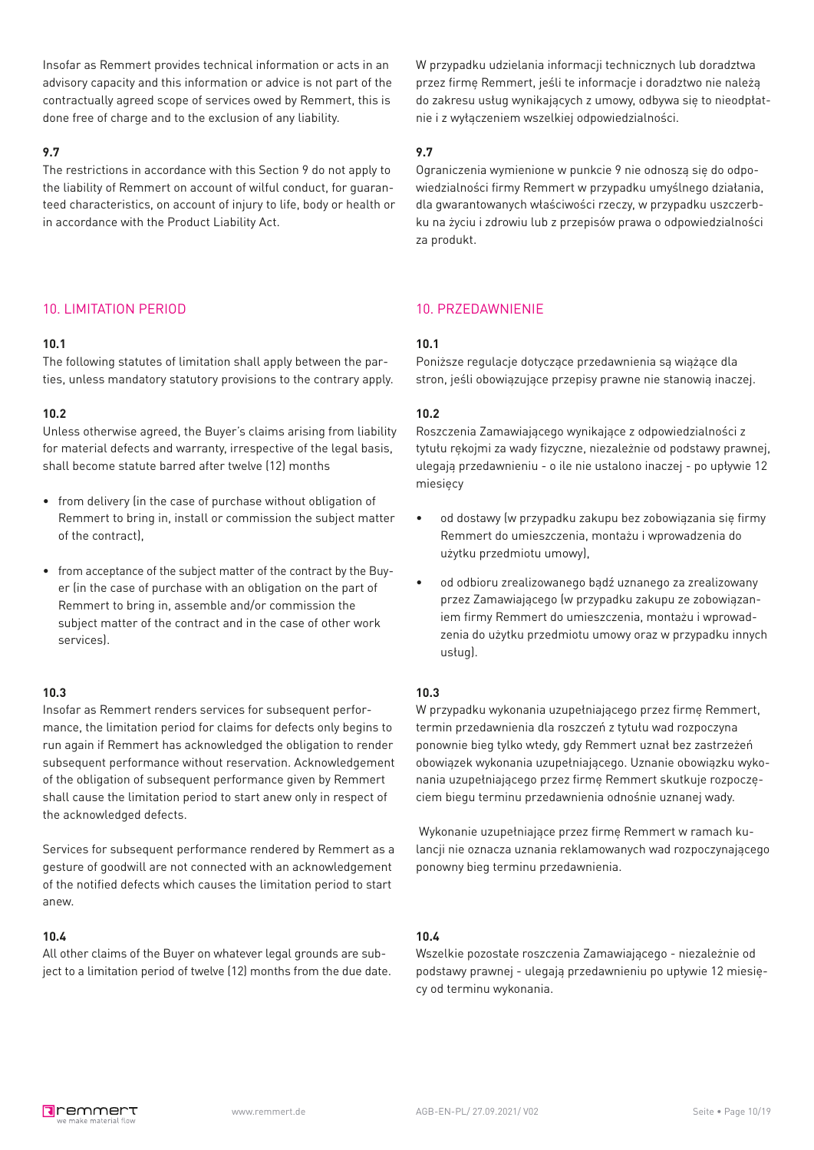Insofar as Remmert provides technical information or acts in an advisory capacity and this information or advice is not part of the contractually agreed scope of services owed by Remmert, this is done free of charge and to the exclusion of any liability.

### **9.7**

The restrictions in accordance with this Section 9 do not apply to the liability of Remmert on account of wilful conduct, for guaranteed characteristics, on account of injury to life, body or health or in accordance with the Product Liability Act.

# 10. LIMITATION PERIOD

# **10.1**

The following statutes of limitation shall apply between the parties, unless mandatory statutory provisions to the contrary apply.

# **10.2**

Unless otherwise agreed, the Buyer's claims arising from liability for material defects and warranty, irrespective of the legal basis, shall become statute barred after twelve (12) months

- from delivery (in the case of purchase without obligation of Remmert to bring in, install or commission the subject matter of the contract),
- from acceptance of the subject matter of the contract by the Buyer (in the case of purchase with an obligation on the part of Remmert to bring in, assemble and/or commission the subject matter of the contract and in the case of other work services).

### **10.3**

Insofar as Remmert renders services for subsequent performance, the limitation period for claims for defects only begins to run again if Remmert has acknowledged the obligation to render subsequent performance without reservation. Acknowledgement of the obligation of subsequent performance given by Remmert shall cause the limitation period to start anew only in respect of the acknowledged defects.

Services for subsequent performance rendered by Remmert as a gesture of goodwill are not connected with an acknowledgement of the notified defects which causes the limitation period to start anew.

# **10.4**

All other claims of the Buyer on whatever legal grounds are subject to a limitation period of twelve (12) months from the due date. W przypadku udzielania informacji technicznych lub doradztwa przez firmę Remmert, jeśli te informacje i doradztwo nie należą do zakresu usług wynikających z umowy, odbywa się to nieodpłatnie i z wyłączeniem wszelkiej odpowiedzialności.

# **9.7**

Ograniczenia wymienione w punkcie 9 nie odnoszą się do odpowiedzialności firmy Remmert w przypadku umyślnego działania, dla gwarantowanych właściwości rzeczy, w przypadku uszczerbku na życiu i zdrowiu lub z przepisów prawa o odpowiedzialności za produkt.

# 10. PRZEDAWNIENIE

# **10.1**

Poniższe regulacje dotyczące przedawnienia są wiążące dla stron, jeśli obowiązujące przepisy prawne nie stanowią inaczej.

# **10.2**

Roszczenia Zamawiającego wynikające z odpowiedzialności z tytułu rękojmi za wady fizyczne, niezależnie od podstawy prawnej, ulegają przedawnieniu - o ile nie ustalono inaczej - po upływie 12 miesięcy

- od dostawy (w przypadku zakupu bez zobowiązania się firmy Remmert do umieszczenia, montażu i wprowadzenia do użytku przedmiotu umowy),
- od odbioru zrealizowanego bądź uznanego za zrealizowany przez Zamawiającego (w przypadku zakupu ze zobowiązaniem firmy Remmert do umieszczenia, montażu i wprowadzenia do użytku przedmiotu umowy oraz w przypadku innych usług).

# **10.3**

W przypadku wykonania uzupełniającego przez firmę Remmert, termin przedawnienia dla roszczeń z tytułu wad rozpoczyna ponownie bieg tylko wtedy, gdy Remmert uznał bez zastrzeżeń obowiązek wykonania uzupełniającego. Uznanie obowiązku wykonania uzupełniającego przez firmę Remmert skutkuje rozpoczęciem biegu terminu przedawnienia odnośnie uznanej wady.

 Wykonanie uzupełniające przez firmę Remmert w ramach kulancji nie oznacza uznania reklamowanych wad rozpoczynającego ponowny bieg terminu przedawnienia.

# **10.4**

Wszelkie pozostałe roszczenia Zamawiającego - niezależnie od podstawy prawnej - ulegają przedawnieniu po upływie 12 miesięcy od terminu wykonania.

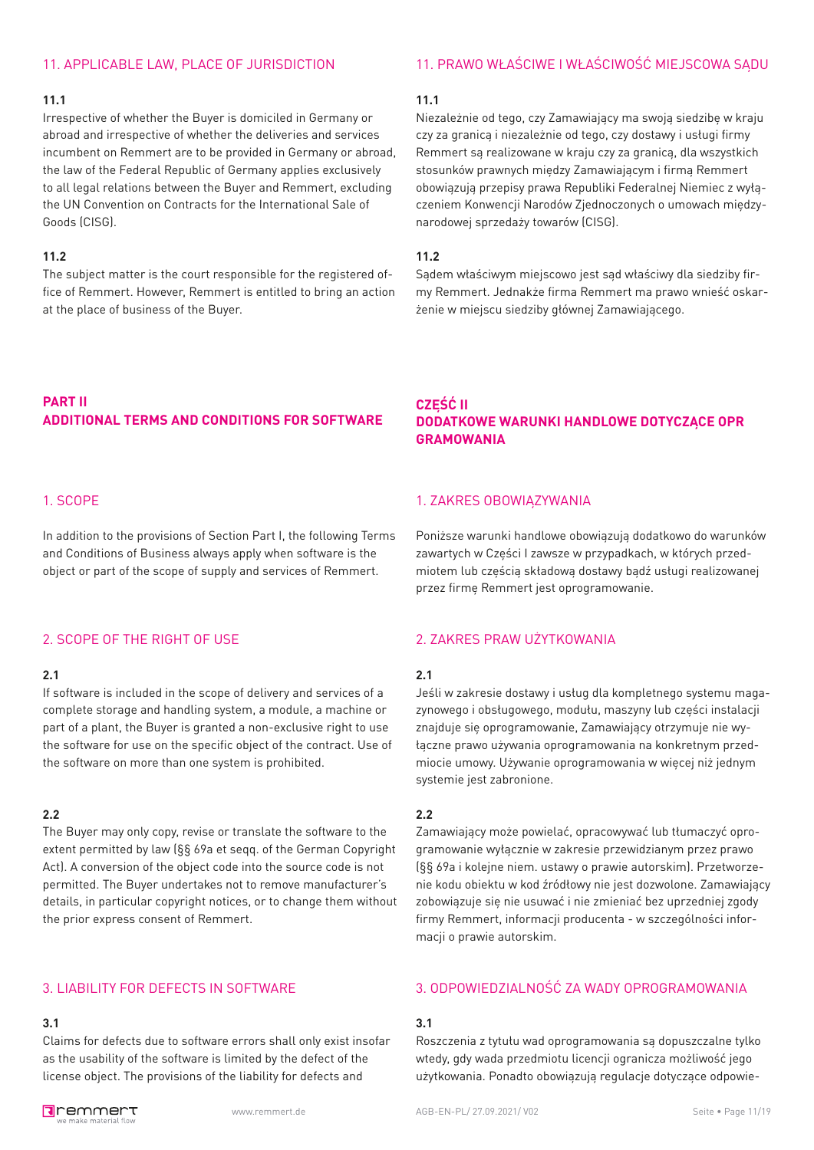# 11. APPLICABLE LAW, PLACE OF JURISDICTION

#### **11.1**

Irrespective of whether the Buyer is domiciled in Germany or abroad and irrespective of whether the deliveries and services incumbent on Remmert are to be provided in Germany or abroad, the law of the Federal Republic of Germany applies exclusively to all legal relations between the Buyer and Remmert, excluding the UN Convention on Contracts for the International Sale of Goods (CISG).

#### **11.2**

The subject matter is the court responsible for the registered office of Remmert. However, Remmert is entitled to bring an action at the place of business of the Buyer.

# **PART II ADDITIONAL TERMS AND CONDITIONS FOR SOFTWARE**

### 1. SCOPE

In addition to the provisions of Section Part I, the following Terms and Conditions of Business always apply when software is the object or part of the scope of supply and services of Remmert.

### 2. SCOPE OF THE RIGHT OF USE

#### **2.1**

If software is included in the scope of delivery and services of a complete storage and handling system, a module, a machine or part of a plant, the Buyer is granted a non-exclusive right to use the software for use on the specific object of the contract. Use of the software on more than one system is prohibited.

#### **2.2**

The Buyer may only copy, revise or translate the software to the extent permitted by law (§§ 69a et seqq. of the German Copyright Act). A conversion of the object code into the source code is not permitted. The Buyer undertakes not to remove manufacturer's details, in particular copyright notices, or to change them without the prior express consent of Remmert.

### 3. LIABILITY FOR DEFECTS IN SOFTWARE

### **3.1**

Claims for defects due to software errors shall only exist insofar as the usability of the software is limited by the defect of the license object. The provisions of the liability for defects and



## 11. PRAWO WŁAŚCIWE I WŁAŚCIWOŚĆ MIEJSCOWA SĄDU

#### **11.1**

Niezależnie od tego, czy Zamawiający ma swoją siedzibę w kraju czy za granicą i niezależnie od tego, czy dostawy i usługi firmy Remmert są realizowane w kraju czy za granicą, dla wszystkich stosunków prawnych między Zamawiającym i firmą Remmert obowiązują przepisy prawa Republiki Federalnej Niemiec z wyłączeniem Konwencji Narodów Zjednoczonych o umowach międzynarodowej sprzedaży towarów (CISG).

#### **11.2**

Sądem właściwym miejscowo jest sąd właściwy dla siedziby firmy Remmert. Jednakże firma Remmert ma prawo wnieść oskarżenie w miejscu siedziby głównej Zamawiającego.

# **CZĘŚĆ II DODATKOWE WARUNKI HANDLOWE DOTYCZĄCE OPR GRAMOWANIA**

#### 1. ZAKRES OBOWIĄZYWANIA

Poniższe warunki handlowe obowiązują dodatkowo do warunków zawartych w Części I zawsze w przypadkach, w których przedmiotem lub częścią składową dostawy bądź usługi realizowanej przez firmę Remmert jest oprogramowanie.

# 2. ZAKRES PRAW UŻYTKOWANIA

#### **2.1**

Jeśli w zakresie dostawy i usług dla kompletnego systemu magazynowego i obsługowego, modułu, maszyny lub części instalacji znajduje się oprogramowanie, Zamawiający otrzymuje nie wyłączne prawo używania oprogramowania na konkretnym przedmiocie umowy. Używanie oprogramowania w więcej niż jednym systemie jest zabronione.

#### **2.2**

Zamawiający może powielać, opracowywać lub tłumaczyć oprogramowanie wyłącznie w zakresie przewidzianym przez prawo (§§ 69a i kolejne niem. ustawy o prawie autorskim). Przetworzenie kodu obiektu w kod źródłowy nie jest dozwolone. Zamawiający zobowiązuje się nie usuwać i nie zmieniać bez uprzedniej zgody firmy Remmert, informacji producenta - w szczególności informacji o prawie autorskim.

# 3. ODPOWIEDZIALNOŚĆ ZA WADY OPROGRAMOWANIA

# **3.1**

Roszczenia z tytułu wad oprogramowania są dopuszczalne tylko wtedy, gdy wada przedmiotu licencji ogranicza możliwość jego użytkowania. Ponadto obowiązują regulacje dotyczące odpowie-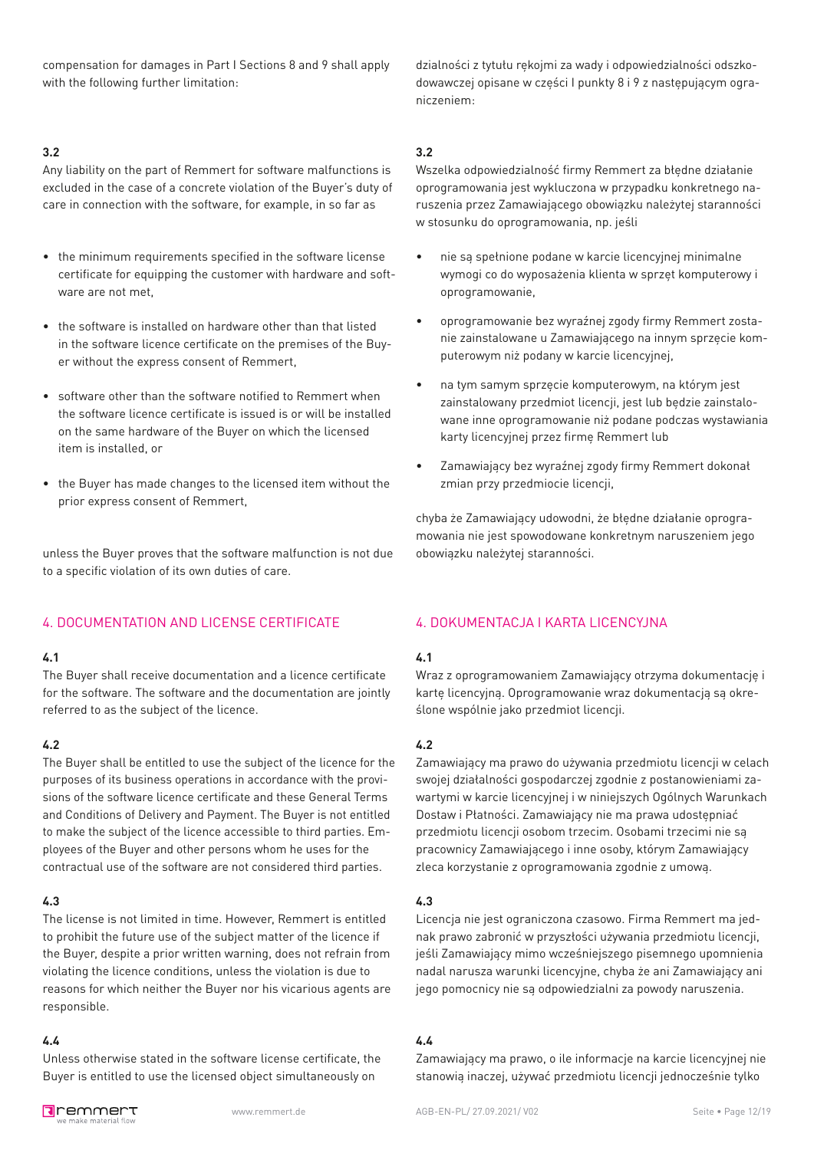compensation for damages in Part I Sections 8 and 9 shall apply with the following further limitation:

#### **3.2**

Any liability on the part of Remmert for software malfunctions is excluded in the case of a concrete violation of the Buyer's duty of care in connection with the software, for example, in so far as

- the minimum requirements specified in the software license certificate for equipping the customer with hardware and software are not met,
- the software is installed on hardware other than that listed in the software licence certificate on the premises of the Buyer without the express consent of Remmert,
- software other than the software notified to Remmert when the software licence certificate is issued is or will be installed on the same hardware of the Buyer on which the licensed item is installed, or
- the Buyer has made changes to the licensed item without the prior express consent of Remmert,

unless the Buyer proves that the software malfunction is not due to a specific violation of its own duties of care.

### 4. DOCUMENTATION AND LICENSE CERTIFICATE

#### **4.1**

The Buyer shall receive documentation and a licence certificate for the software. The software and the documentation are jointly referred to as the subject of the licence.

#### **4.2**

The Buyer shall be entitled to use the subject of the licence for the purposes of its business operations in accordance with the provisions of the software licence certificate and these General Terms and Conditions of Delivery and Payment. The Buyer is not entitled to make the subject of the licence accessible to third parties. Employees of the Buyer and other persons whom he uses for the contractual use of the software are not considered third parties.

#### **4.3**

The license is not limited in time. However, Remmert is entitled to prohibit the future use of the subject matter of the licence if the Buyer, despite a prior written warning, does not refrain from violating the licence conditions, unless the violation is due to reasons for which neither the Buyer nor his vicarious agents are responsible.

### **4.4**

Unless otherwise stated in the software license certificate, the Buyer is entitled to use the licensed object simultaneously on

dzialności z tytułu rękojmi za wady i odpowiedzialności odszkodowawczej opisane w części I punkty 8 i 9 z następującym ograniczeniem:

#### **3.2**

Wszelka odpowiedzialność firmy Remmert za błędne działanie oprogramowania jest wykluczona w przypadku konkretnego naruszenia przez Zamawiającego obowiązku należytej staranności w stosunku do oprogramowania, np. jeśli

- nie są spełnione podane w karcie licencyjnej minimalne wymogi co do wyposażenia klienta w sprzęt komputerowy i oprogramowanie,
- oprogramowanie bez wyraźnej zgody firmy Remmert zostanie zainstalowane u Zamawiającego na innym sprzęcie komputerowym niż podany w karcie licencyjnej,
- na tym samym sprzęcie komputerowym, na którym jest zainstalowany przedmiot licencji, jest lub będzie zainstalowane inne oprogramowanie niż podane podczas wystawiania karty licencyjnej przez firmę Remmert lub
- Zamawiający bez wyraźnej zgody firmy Remmert dokonał zmian przy przedmiocie licencji,

chyba że Zamawiający udowodni, że błędne działanie oprogramowania nie jest spowodowane konkretnym naruszeniem jego obowiązku należytej staranności.

### 4. DOKUMENTACJA I KARTA LICENCYJNA

#### **4.1**

Wraz z oprogramowaniem Zamawiający otrzyma dokumentację i kartę licencyjną. Oprogramowanie wraz dokumentacją są określone wspólnie jako przedmiot licencji.

#### **4.2**

Zamawiający ma prawo do używania przedmiotu licencji w celach swojej działalności gospodarczej zgodnie z postanowieniami zawartymi w karcie licencyjnej i w niniejszych Ogólnych Warunkach Dostaw i Płatności. Zamawiający nie ma prawa udostępniać przedmiotu licencji osobom trzecim. Osobami trzecimi nie są pracownicy Zamawiającego i inne osoby, którym Zamawiający zleca korzystanie z oprogramowania zgodnie z umową.

### **4.3**

Licencja nie jest ograniczona czasowo. Firma Remmert ma jednak prawo zabronić w przyszłości używania przedmiotu licencji, jeśli Zamawiający mimo wcześniejszego pisemnego upomnienia nadal narusza warunki licencyjne, chyba że ani Zamawiający ani jego pomocnicy nie są odpowiedzialni za powody naruszenia.

# **4.4**

Zamawiający ma prawo, o ile informacje na karcie licencyjnej nie stanowią inaczej, używać przedmiotu licencji jednocześnie tylko

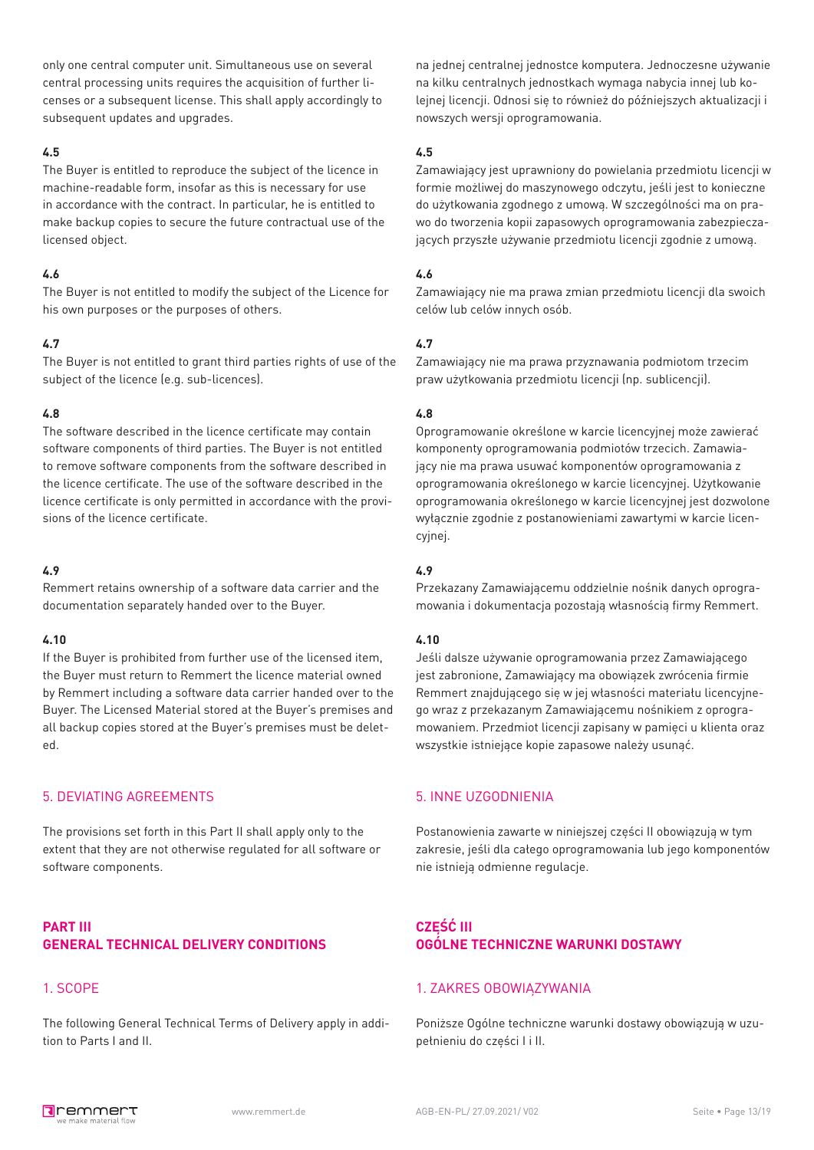only one central computer unit. Simultaneous use on several central processing units requires the acquisition of further licenses or a subsequent license. This shall apply accordingly to subsequent updates and upgrades.

## **4.5**

The Buyer is entitled to reproduce the subject of the licence in machine-readable form, insofar as this is necessary for use in accordance with the contract. In particular, he is entitled to make backup copies to secure the future contractual use of the licensed object.

# **4.6**

The Buyer is not entitled to modify the subject of the Licence for his own purposes or the purposes of others.

# **4.7**

The Buyer is not entitled to grant third parties rights of use of the subject of the licence (e.g. sub-licences).

# **4.8**

The software described in the licence certificate may contain software components of third parties. The Buyer is not entitled to remove software components from the software described in the licence certificate. The use of the software described in the licence certificate is only permitted in accordance with the provisions of the licence certificate.

# **4.9**

Remmert retains ownership of a software data carrier and the documentation separately handed over to the Buyer.

### **4.10**

If the Buyer is prohibited from further use of the licensed item, the Buyer must return to Remmert the licence material owned by Remmert including a software data carrier handed over to the Buyer. The Licensed Material stored at the Buyer's premises and all backup copies stored at the Buyer's premises must be deleted.

### 5. DEVIATING AGREEMENTS

The provisions set forth in this Part II shall apply only to the extent that they are not otherwise regulated for all software or software components.

# **PART III GENERAL TECHNICAL DELIVERY CONDITIONS**

# 1. SCOPE

The following General Technical Terms of Delivery apply in addition to Parts I and II.

na jednej centralnej jednostce komputera. Jednoczesne używanie na kilku centralnych jednostkach wymaga nabycia innej lub kolejnej licencji. Odnosi się to również do późniejszych aktualizacji i nowszych wersji oprogramowania.

# **4.5**

Zamawiający jest uprawniony do powielania przedmiotu licencji w formie możliwej do maszynowego odczytu, jeśli jest to konieczne do użytkowania zgodnego z umową. W szczególności ma on prawo do tworzenia kopii zapasowych oprogramowania zabezpieczających przyszłe używanie przedmiotu licencji zgodnie z umową.

### **4.6**

Zamawiający nie ma prawa zmian przedmiotu licencji dla swoich celów lub celów innych osób.

### **4.7**

Zamawiający nie ma prawa przyznawania podmiotom trzecim praw użytkowania przedmiotu licencji (np. sublicencji).

# **4.8**

Oprogramowanie określone w karcie licencyjnej może zawierać komponenty oprogramowania podmiotów trzecich. Zamawiający nie ma prawa usuwać komponentów oprogramowania z oprogramowania określonego w karcie licencyjnej. Użytkowanie oprogramowania określonego w karcie licencyjnej jest dozwolone wyłącznie zgodnie z postanowieniami zawartymi w karcie licencyjnej.

# **4.9**

Przekazany Zamawiającemu oddzielnie nośnik danych oprogramowania i dokumentacja pozostają własnością firmy Remmert.

### **4.10**

Jeśli dalsze używanie oprogramowania przez Zamawiającego jest zabronione, Zamawiający ma obowiązek zwrócenia firmie Remmert znajdującego się w jej własności materiału licencyjnego wraz z przekazanym Zamawiającemu nośnikiem z oprogramowaniem. Przedmiot licencji zapisany w pamięci u klienta oraz wszystkie istniejące kopie zapasowe należy usunąć.

# 5. INNE UZGODNIENIA

Postanowienia zawarte w niniejszej części II obowiązują w tym zakresie, jeśli dla całego oprogramowania lub jego komponentów nie istnieją odmienne regulacje.

# **CZĘŚĆ III OGÓLNE TECHNICZNE WARUNKI DOSTAWY**

### 1. ZAKRES OBOWIĄZYWANIA

Poniższe Ogólne techniczne warunki dostawy obowiązują w uzupełnieniu do części I i II.

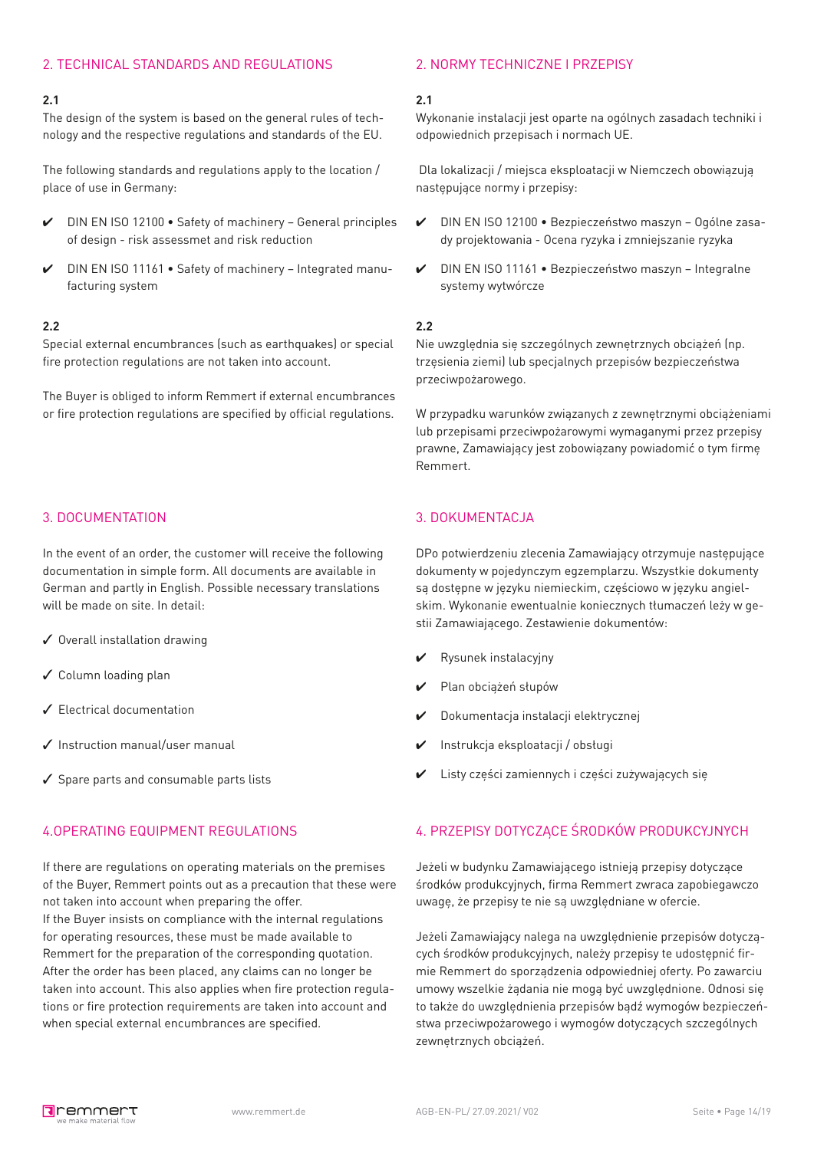# 2. TECHNICAL STANDARDS AND REGULATIONS

#### **2.1**

The design of the system is based on the general rules of technology and the respective regulations and standards of the EU.

The following standards and regulations apply to the location / place of use in Germany:

- ✔ DIN EN ISO 12100 Safety of machinery General principles of design - risk assessmet and risk reduction
- ✔ DIN EN ISO 11161 Safety of machinery Integrated manufacturing system

#### **2.2**

Special external encumbrances (such as earthquakes) or special fire protection regulations are not taken into account.

The Buyer is obliged to inform Remmert if external encumbrances or fire protection regulations are specified by official regulations.

### 3. DOCUMENTATION

In the event of an order, the customer will receive the following documentation in simple form. All documents are available in German and partly in English. Possible necessary translations will be made on site. In detail:

- ✓ Overall installation drawing
- ✓ Column loading plan
- ✓ Electrical documentation
- ✓ Instruction manual/user manual
- ✓ Spare parts and consumable parts lists

# 4.OPERATING EQUIPMENT REGULATIONS

If there are regulations on operating materials on the premises of the Buyer, Remmert points out as a precaution that these were not taken into account when preparing the offer. If the Buyer insists on compliance with the internal regulations for operating resources, these must be made available to Remmert for the preparation of the corresponding quotation. After the order has been placed, any claims can no longer be taken into account. This also applies when fire protection regulations or fire protection requirements are taken into account and when special external encumbrances are specified.

#### 2. NORMY TECHNICZNE I PRZEPISY

#### **2.1**

Wykonanie instalacji jest oparte na ogólnych zasadach techniki i odpowiednich przepisach i normach UE.

 Dla lokalizacji / miejsca eksploatacji w Niemczech obowiązują następujące normy i przepisy:

- ✔ DIN EN ISO 12100 Bezpieczeństwo maszyn Ogólne zasady projektowania - Ocena ryzyka i zmniejszanie ryzyka
- ✔ DIN EN ISO 11161 Bezpieczeństwo maszyn Integralne systemy wytwórcze

#### **2.2**

Nie uwzględnia się szczególnych zewnętrznych obciążeń (np. trzęsienia ziemi) lub specjalnych przepisów bezpieczeństwa przeciwpożarowego.

W przypadku warunków związanych z zewnętrznymi obciążeniami lub przepisami przeciwpożarowymi wymaganymi przez przepisy prawne, Zamawiający jest zobowiązany powiadomić o tym firmę Remmert.

### 3. DOKUMENTACJA

DPo potwierdzeniu zlecenia Zamawiający otrzymuje następujące dokumenty w pojedynczym egzemplarzu. Wszystkie dokumenty są dostępne w języku niemieckim, częściowo w języku angielskim. Wykonanie ewentualnie koniecznych tłumaczeń leży w gestii Zamawiającego. Zestawienie dokumentów:

- $\boldsymbol{\nu}$  Rysunek instalacyjny
- ✔ Plan obciążeń słupów
- ✔ Dokumentacja instalacji elektrycznej
- ✔ Instrukcja eksploatacji / obsługi
- Listy cześci zamiennych i cześci zużywających się

# 4. PRZEPISY DOTYCZĄCE ŚRODKÓW PRODUKCYJNYCH

Jeżeli w budynku Zamawiającego istnieją przepisy dotyczące środków produkcyjnych, firma Remmert zwraca zapobiegawczo uwagę, że przepisy te nie są uwzględniane w ofercie.

Jeżeli Zamawiający nalega na uwzględnienie przepisów dotyczących środków produkcyjnych, należy przepisy te udostępnić firmie Remmert do sporządzenia odpowiedniej oferty. Po zawarciu umowy wszelkie żądania nie mogą być uwzględnione. Odnosi się to także do uwzględnienia przepisów bądź wymogów bezpieczeństwa przeciwpożarowego i wymogów dotyczących szczególnych zewnętrznych obciążeń.

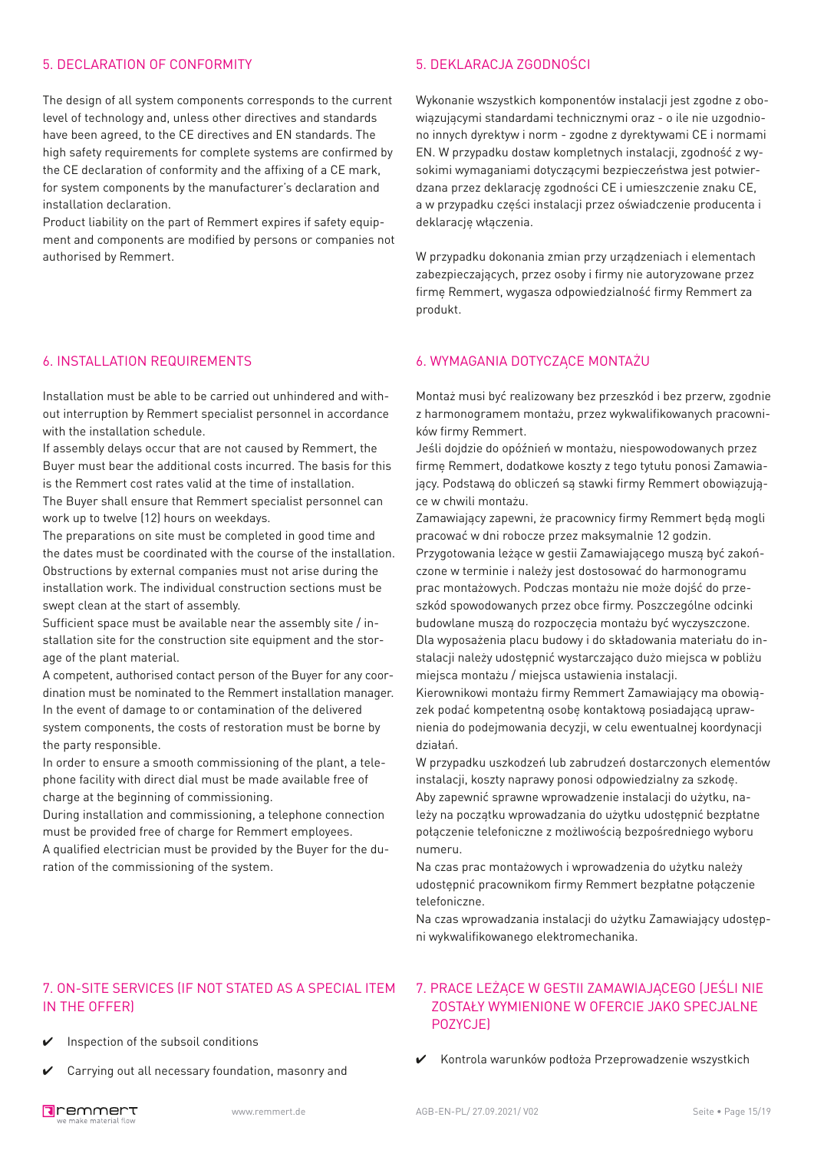### 5. DECLARATION OF CONFORMITY

The design of all system components corresponds to the current level of technology and, unless other directives and standards have been agreed, to the CE directives and EN standards. The high safety requirements for complete systems are confirmed by the CE declaration of conformity and the affixing of a CE mark, for system components by the manufacturer's declaration and installation declaration.

Product liability on the part of Remmert expires if safety equipment and components are modified by persons or companies not authorised by Remmert.

#### 6. INSTALLATION REQUIREMENTS

Installation must be able to be carried out unhindered and without interruption by Remmert specialist personnel in accordance with the installation schedule.

If assembly delays occur that are not caused by Remmert, the Buyer must bear the additional costs incurred. The basis for this is the Remmert cost rates valid at the time of installation.

The Buyer shall ensure that Remmert specialist personnel can work up to twelve (12) hours on weekdays.

The preparations on site must be completed in good time and the dates must be coordinated with the course of the installation. Obstructions by external companies must not arise during the installation work. The individual construction sections must be swept clean at the start of assembly.

Sufficient space must be available near the assembly site / installation site for the construction site equipment and the storage of the plant material.

A competent, authorised contact person of the Buyer for any coordination must be nominated to the Remmert installation manager. In the event of damage to or contamination of the delivered system components, the costs of restoration must be borne by the party responsible.

In order to ensure a smooth commissioning of the plant, a telephone facility with direct dial must be made available free of charge at the beginning of commissioning.

During installation and commissioning, a telephone connection must be provided free of charge for Remmert employees.

A qualified electrician must be provided by the Buyer for the duration of the commissioning of the system.

# 5. DEKLARACJA ZGODNOŚCI

Wykonanie wszystkich komponentów instalacji jest zgodne z obowiązującymi standardami technicznymi oraz - o ile nie uzgodniono innych dyrektyw i norm - zgodne z dyrektywami CE i normami EN. W przypadku dostaw kompletnych instalacji, zgodność z wysokimi wymaganiami dotyczącymi bezpieczeństwa jest potwierdzana przez deklarację zgodności CE i umieszczenie znaku CE, a w przypadku części instalacji przez oświadczenie producenta i deklarację włączenia.

W przypadku dokonania zmian przy urządzeniach i elementach zabezpieczających, przez osoby i firmy nie autoryzowane przez firmę Remmert, wygasza odpowiedzialność firmy Remmert za produkt.

#### 6. WYMAGANIA DOTYCZĄCE MONTAŻU

Montaż musi być realizowany bez przeszkód i bez przerw, zgodnie z harmonogramem montażu, przez wykwalifikowanych pracowników firmy Remmert.

Jeśli dojdzie do opóźnień w montażu, niespowodowanych przez firmę Remmert, dodatkowe koszty z tego tytułu ponosi Zamawiający. Podstawą do obliczeń są stawki firmy Remmert obowiązujące w chwili montażu.

Zamawiający zapewni, że pracownicy firmy Remmert będą mogli pracować w dni robocze przez maksymalnie 12 godzin.

Przygotowania leżące w gestii Zamawiającego muszą być zakończone w terminie i należy jest dostosować do harmonogramu prac montażowych. Podczas montażu nie może dojść do przeszkód spowodowanych przez obce firmy. Poszczególne odcinki budowlane muszą do rozpoczęcia montażu być wyczyszczone. Dla wyposażenia placu budowy i do składowania materiału do instalacji należy udostępnić wystarczająco dużo miejsca w pobliżu miejsca montażu / miejsca ustawienia instalacji.

Kierownikowi montażu firmy Remmert Zamawiający ma obowiązek podać kompetentną osobę kontaktową posiadającą uprawnienia do podejmowania decyzji, w celu ewentualnej koordynacji działań.

W przypadku uszkodzeń lub zabrudzeń dostarczonych elementów instalacji, koszty naprawy ponosi odpowiedzialny za szkodę. Aby zapewnić sprawne wprowadzenie instalacji do użytku, należy na początku wprowadzania do użytku udostępnić bezpłatne połączenie telefoniczne z możliwością bezpośredniego wyboru numeru.

Na czas prac montażowych i wprowadzenia do użytku należy udostępnić pracownikom firmy Remmert bezpłatne połączenie telefoniczne.

Na czas wprowadzania instalacji do użytku Zamawiający udostępni wykwalifikowanego elektromechanika.

# 7. ON-SITE SERVICES (IF NOT STATED AS A SPECIAL ITEM IN THE OFFER)

- $\mathcal V$  Inspection of the subsoil conditions
- ✔ Carrying out all necessary foundation, masonry and

# 7. PRACE LEŻĄCE W GESTII ZAMAWIAJĄCEGO (JEŚLI NIE ZOSTAŁY WYMIENIONE W OFERCIE JAKO SPECJALNE POZYCJE)

✔ Kontrola warunków podłoża Przeprowadzenie wszystkich

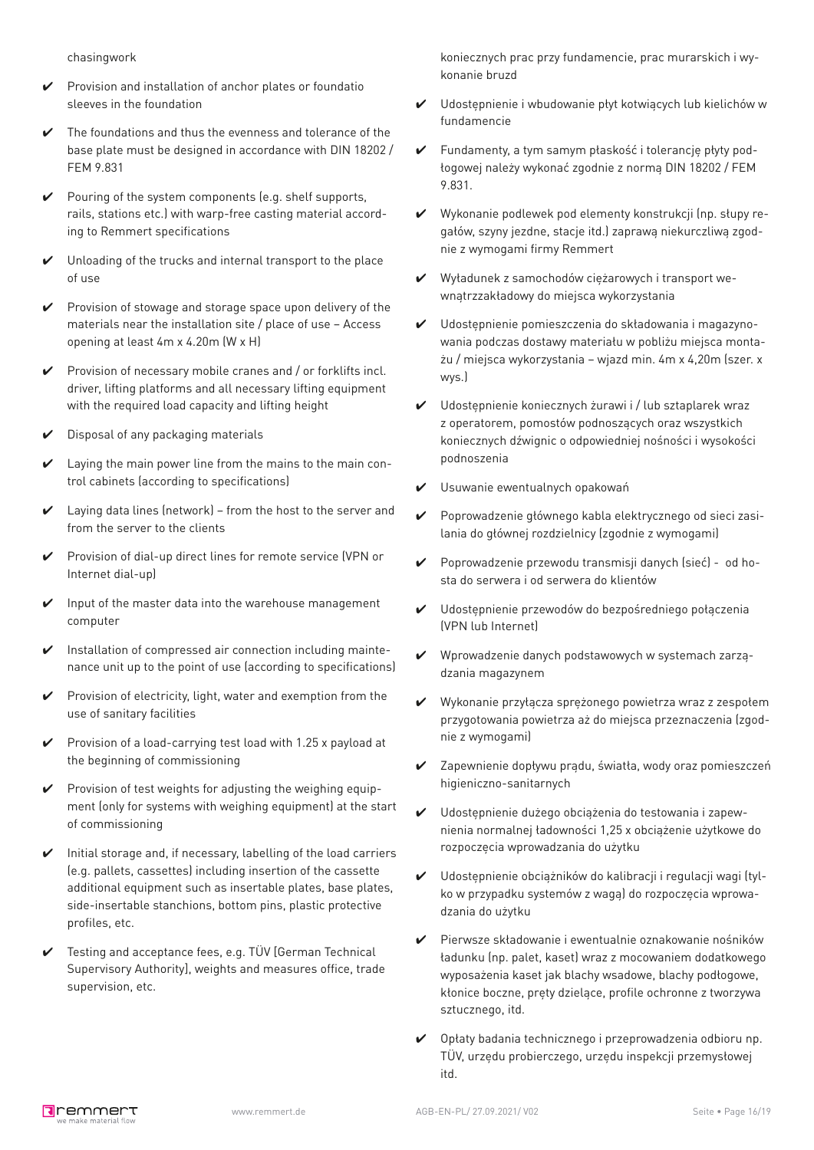chasingwork

- Provision and installation of anchor plates or foundatio sleeves in the foundation
- ✔ The foundations and thus the evenness and tolerance of the base plate must be designed in accordance with DIN 18202 / FEM 9.831
- $\triangleright$  Pouring of the system components (e.g. shelf supports, rails, stations etc.) with warp-free casting material according to Remmert specifications
- ✔ Unloading of the trucks and internal transport to the place of use
- ✔ Provision of stowage and storage space upon delivery of the materials near the installation site / place of use – Access opening at least 4m x 4.20m (W x H)
- $\checkmark$  Provision of necessary mobile cranes and / or forklifts incl. driver, lifting platforms and all necessary lifting equipment with the required load capacity and lifting height
- $\mathcal V$  Disposal of any packaging materials
- $\mathcal V$  Laying the main power line from the mains to the main control cabinets (according to specifications)
- $\mathcal V$  Laying data lines (network) from the host to the server and from the server to the clients
- ✔ Provision of dial-up direct lines for remote service (VPN or Internet dial-up)
- $\mathcal V$  Input of the master data into the warehouse management computer
- ✔ Installation of compressed air connection including maintenance unit up to the point of use (according to specifications)
- $\checkmark$  Provision of electricity, light, water and exemption from the use of sanitary facilities
- $\triangleright$  Provision of a load-carrying test load with 1.25 x payload at the beginning of commissioning
- $\checkmark$  Provision of test weights for adjusting the weighing equipment (only for systems with weighing equipment) at the start of commissioning
- $\checkmark$  Initial storage and, if necessary, labelling of the load carriers (e.g. pallets, cassettes) including insertion of the cassette additional equipment such as insertable plates, base plates, side-insertable stanchions, bottom pins, plastic protective profiles, etc.
- Testing and acceptance fees, e.g. TÜV [German Technical Supervisory Authority], weights and measures office, trade supervision, etc.

koniecznych prac przy fundamencie, prac murarskich i wykonanie bruzd

- Udostępnienie i wbudowanie płyt kotwiących lub kielichów w fundamencie
- ✔ Fundamenty, a tym samym płaskość i tolerancję płyty podłogowej należy wykonać zgodnie z normą DIN 18202 / FEM 9.831.
- ✔ Wykonanie podlewek pod elementy konstrukcji (np. słupy regałów, szyny jezdne, stacje itd.) zaprawą niekurczliwą zgodnie z wymogami firmy Remmert
- ✔ Wyładunek z samochodów ciężarowych i transport wewnątrzzakładowy do miejsca wykorzystania
- ✔ Udostępnienie pomieszczenia do składowania i magazynowania podczas dostawy materiału w pobliżu miejsca montażu / miejsca wykorzystania – wjazd min. 4m x 4,20m (szer. x wys.)
- Udostępnienie koniecznych żurawi i / lub sztaplarek wraz z operatorem, pomostów podnoszących oraz wszystkich koniecznych dźwignic o odpowiedniej nośności i wysokości podnoszenia
- Usuwanie ewentualnych opakowań
- ✔ Poprowadzenie głównego kabla elektrycznego od sieci zasilania do głównej rozdzielnicy (zgodnie z wymogami)
- ✔ Poprowadzenie przewodu transmisji danych (sieć) od hosta do serwera i od serwera do klientów
- ✔ Udostępnienie przewodów do bezpośredniego połączenia (VPN lub Internet)
- ✔ Wprowadzenie danych podstawowych w systemach zarządzania magazynem
- ✔ Wykonanie przyłącza sprężonego powietrza wraz z zespołem przygotowania powietrza aż do miejsca przeznaczenia (zgodnie z wymogami)
- ✔ Zapewnienie dopływu prądu, światła, wody oraz pomieszczeń higieniczno-sanitarnych
- Udostępnienie dużego obciążenia do testowania i zapewnienia normalnej ładowności 1,25 x obciążenie użytkowe do rozpoczęcia wprowadzania do użytku
- Udostępnienie obciążników do kalibracji i regulacji wagi (tylko w przypadku systemów z wagą) do rozpoczęcia wprowadzania do użytku
- ✔ Pierwsze składowanie i ewentualnie oznakowanie nośników ładunku (np. palet, kaset) wraz z mocowaniem dodatkowego wyposażenia kaset jak blachy wsadowe, blachy podłogowe, kłonice boczne, pręty dzielące, profile ochronne z tworzywa sztucznego, itd.
- Opłaty badania technicznego i przeprowadzenia odbioru np. TÜV, urzędu probierczego, urzędu inspekcji przemysłowej itd.

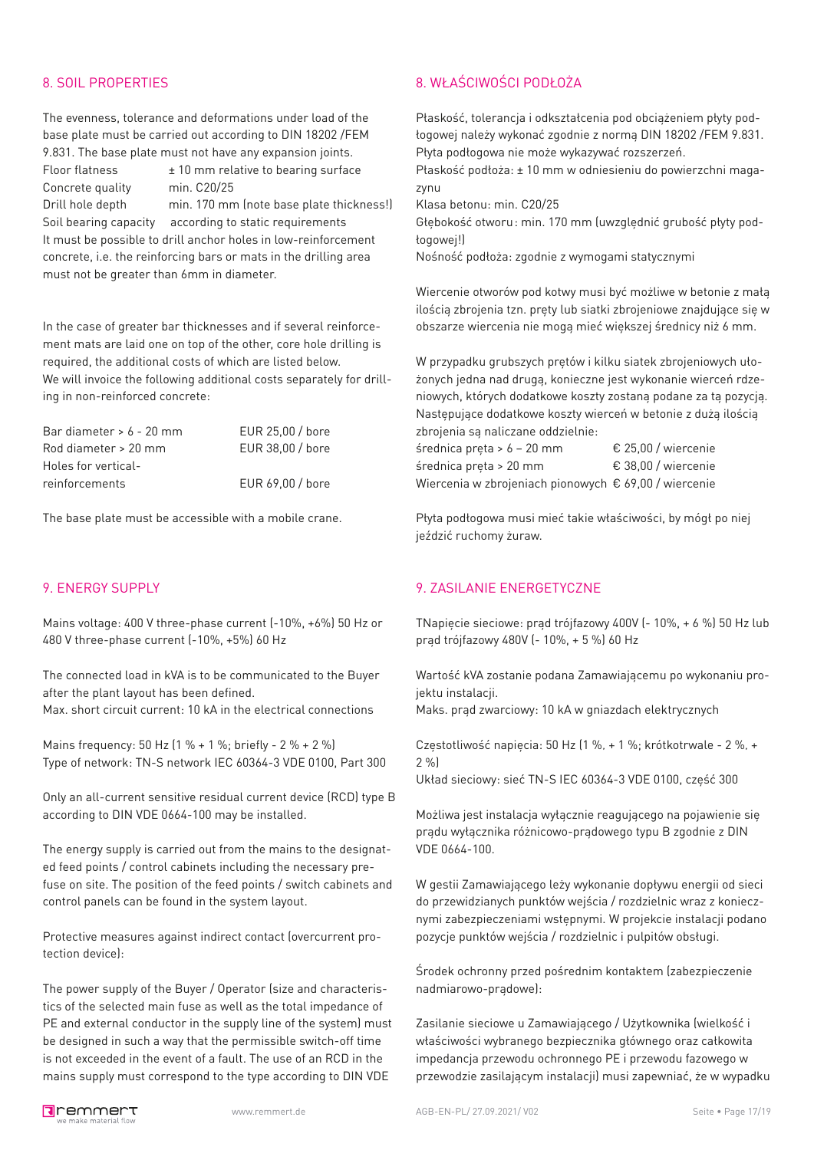### 8. SOIL PROPERTIES

The evenness, tolerance and deformations under load of the base plate must be carried out according to DIN 18202 /FEM 9.831. The base plate must not have any expansion joints. Floor flatness  $\pm 10$  mm relative to bearing surface Concrete quality min. C20/25 Drill hole depth min. 170 mm (note base plate thickness!) Soil bearing capacity according to static requirements It must be possible to drill anchor holes in low-reinforcement concrete, i.e. the reinforcing bars or mats in the drilling area must not be greater than 6mm in diameter.

In the case of greater bar thicknesses and if several reinforcement mats are laid one on top of the other, core hole drilling is required, the additional costs of which are listed below. We will invoice the following additional costs separately for drilling in non-reinforced concrete:

| Bar diameter $> 6 - 20$ mm | EUR 25,00 / bore |
|----------------------------|------------------|
| Rod diameter > 20 mm       | EUR 38.00 / bore |
| Holes for vertical-        |                  |
| <u>reinforcements</u>      | EUR 69.00 / bore |

The base plate must be accessible with a mobile crane.

### 9. ENERGY SUPPLY

Mains voltage: 400 V three-phase current (-10%, +6%) 50 Hz or 480 V three-phase current (-10%, +5%) 60 Hz

The connected load in kVA is to be communicated to the Buyer after the plant layout has been defined. Max. short circuit current: 10 kA in the electrical connections

Mains frequency: 50 Hz (1 % + 1 %; briefly - 2 % + 2 %) Type of network: TN-S network IEC 60364-3 VDE 0100, Part 300

Only an all-current sensitive residual current device (RCD) type B according to DIN VDE 0664-100 may be installed.

The energy supply is carried out from the mains to the designated feed points / control cabinets including the necessary prefuse on site. The position of the feed points / switch cabinets and control panels can be found in the system layout.

Protective measures against indirect contact (overcurrent protection device):

The power supply of the Buyer / Operator (size and characteristics of the selected main fuse as well as the total impedance of PE and external conductor in the supply line of the system) must be designed in such a way that the permissible switch-off time is not exceeded in the event of a fault. The use of an RCD in the mains supply must correspond to the type according to DIN VDE

# 8. WŁAŚCIWOŚCI PODŁOŻA

Płaskość, tolerancja i odkształcenia pod obciążeniem płyty podłogowej należy wykonać zgodnie z normą DIN 18202 /FEM 9.831. Płyta podłogowa nie może wykazywać rozszerzeń.

Płaskość podłoża: ± 10 mm w odniesieniu do powierzchni magazynu

Klasa betonu: min. C20/25

Głębokość otworu: min. 170 mm (uwzględnić grubość płyty podłogowej!)

Nośność podłoża: zgodnie z wymogami statycznymi

Wiercenie otworów pod kotwy musi być możliwe w betonie z małą ilością zbrojenia tzn. pręty lub siatki zbrojeniowe znajdujące się w obszarze wiercenia nie mogą mieć większej średnicy niż 6 mm.

W przypadku grubszych prętów i kilku siatek zbrojeniowych ułożonych jedna nad drugą, konieczne jest wykonanie wierceń rdzeniowych, których dodatkowe koszty zostaną podane za tą pozycją. Następujące dodatkowe koszty wierceń w betonie z dużą ilością zbrojenia są naliczane oddzielnie:

średnica pręta > 6 – 20 mm € 25,00 / wiercenie średnica pręta > 20 mm € 38,00 / wiercenie Wiercenia w zbrojeniach pionowych € 69,00 / wiercenie

Płyta podłogowa musi mieć takie właściwości, by mógł po niej jeździć ruchomy żuraw.

# 9. ZASILANIE ENERGETYCZNE

TNapięcie sieciowe: prąd trójfazowy 400V (- 10%, + 6 %) 50 Hz lub prąd trójfazowy 480V (- 10%, + 5 %) 60 Hz

Wartość kVA zostanie podana Zamawiającemu po wykonaniu projektu instalacji.

Maks. prąd zwarciowy: 10 kA w gniazdach elektrycznych

Częstotliwość napięcia: 50 Hz (1 %, + 1 %; krótkotrwale - 2 %, + 2 %)

Układ sieciowy: sieć TN-S IEC 60364-3 VDE 0100, część 300

Możliwa jest instalacja wyłącznie reagującego na pojawienie się prądu wyłącznika różnicowo-prądowego typu B zgodnie z DIN VDE 0664-100.

W gestii Zamawiającego leży wykonanie dopływu energii od sieci do przewidzianych punktów wejścia / rozdzielnic wraz z koniecznymi zabezpieczeniami wstępnymi. W projekcie instalacji podano pozycje punktów wejścia / rozdzielnic i pulpitów obsługi.

Środek ochronny przed pośrednim kontaktem (zabezpieczenie nadmiarowo-prądowe):

Zasilanie sieciowe u Zamawiającego / Użytkownika (wielkość i właściwości wybranego bezpiecznika głównego oraz całkowita impedancja przewodu ochronnego PE i przewodu fazowego w przewodzie zasilającym instalacji) musi zapewniać, że w wypadku

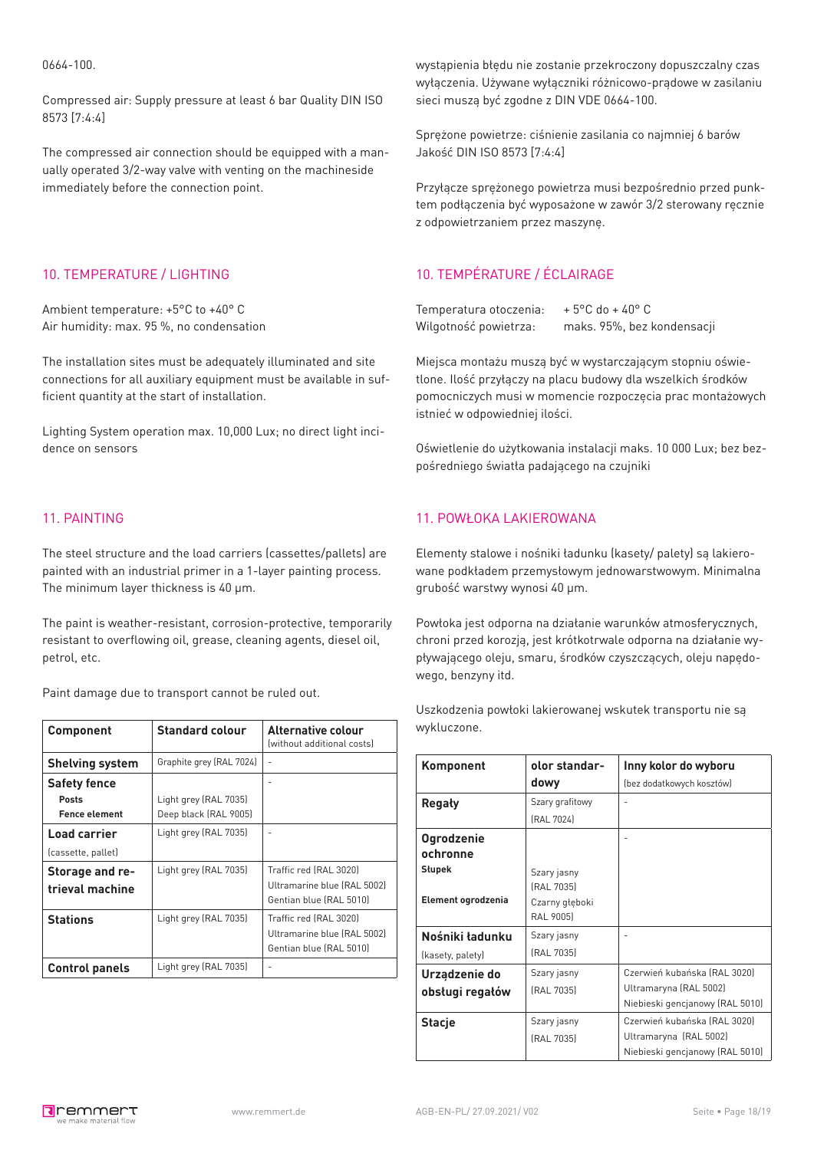#### 0664-100.

Compressed air: Supply pressure at least 6 bar Quality DIN ISO 8573 [7:4:4]

The compressed air connection should be equipped with a manually operated 3/2-way valve with venting on the machineside immediately before the connection point.

# 10. TEMPERATURE / LIGHTING

Ambient temperature: +5°C to +40° C Air humidity: max. 95 %, no condensation

The installation sites must be adequately illuminated and site connections for all auxiliary equipment must be available in sufficient quantity at the start of installation.

Lighting System operation max. 10,000 Lux; no direct light incidence on sensors

### 11. PAINTING

The steel structure and the load carriers (cassettes/pallets) are painted with an industrial primer in a 1-layer painting process. The minimum layer thickness is 40 µm.

The paint is weather-resistant, corrosion-protective, temporarily resistant to overflowing oil, grease, cleaning agents, diesel oil, petrol, etc.

Paint damage due to transport cannot be ruled out.

| Component                                            | <b>Standard colour</b>                         | Alternative colour<br>(without additional costs)                                 |
|------------------------------------------------------|------------------------------------------------|----------------------------------------------------------------------------------|
| <b>Shelving system</b>                               | Graphite grey (RAL 7024)                       | ٠                                                                                |
| <b>Safety fence</b><br>Posts<br><b>Fence element</b> | Light grey (RAL 7035)<br>Deep black (RAL 9005) |                                                                                  |
| Load carrier<br>(cassette, pallet)                   | Light grey (RAL 7035)                          | ٠                                                                                |
| Storage and re-<br>trieval machine                   | Light grey (RAL 7035)                          | Traffic red (RAL 3020)<br>Ultramarine blue (RAL 5002)<br>Gentian blue (RAL 5010) |
| <b>Stations</b>                                      | Light grey (RAL 7035)                          | Traffic red (RAL 3020)<br>Ultramarine blue (RAL 5002)<br>Gentian blue (RAL 5010) |
| <b>Control panels</b>                                | Light grey (RAL 7035)                          | ٠                                                                                |

wystąpienia błędu nie zostanie przekroczony dopuszczalny czas wyłączenia. Używane wyłączniki różnicowo-prądowe w zasilaniu sieci muszą być zgodne z DIN VDE 0664-100.

Sprężone powietrze: ciśnienie zasilania co najmniej 6 barów Jakość DIN ISO 8573 [7:4:4]

Przyłącze sprężonego powietrza musi bezpośrednio przed punktem podłączenia być wyposażone w zawór 3/2 sterowany ręcznie z odpowietrzaniem przez maszynę.

# 10. TEMPÉRATURE / ÉCLAIRAGE

Temperatura otoczenia: + 5°C do + 40° C Wilgotność powietrza: maks. 95%, bez kondensacji

Miejsca montażu muszą być w wystarczającym stopniu oświetlone. Ilość przyłączy na placu budowy dla wszelkich środków pomocniczych musi w momencie rozpoczęcia prac montażowych istnieć w odpowiedniej ilości.

Oświetlenie do użytkowania instalacji maks. 10 000 Lux; bez bezpośredniego światła padającego na czujniki

# 11. POWŁOKA LAKIEROWANA

Elementy stalowe i nośniki ładunku (kasety/ palety) są lakierowane podkładem przemysłowym jednowarstwowym. Minimalna grubość warstwy wynosi 40 µm.

Powłoka jest odporna na działanie warunków atmosferycznych, chroni przed korozją, jest krótkotrwale odporna na działanie wypływającego oleju, smaru, środków czyszczących, oleju napędowego, benzyny itd.

Uszkodzenia powłoki lakierowanej wskutek transportu nie są wykluczone.

| Komponent                               | olor standar-<br>dowy         | Inny kolor do wyboru<br>(bez dodatkowych kosztów)                                         |
|-----------------------------------------|-------------------------------|-------------------------------------------------------------------------------------------|
| Regały                                  | Szary grafitowy<br>(RAL 7024) |                                                                                           |
| <b>Ogrodzenie</b><br>ochronne<br>Słupek | Szary jasny<br>[RAL 7035]     |                                                                                           |
| Element ogrodzenia                      | Czarny głęboki<br>RAL 90051   |                                                                                           |
| Nośniki ładunku<br>(kasety, palety)     | Szary jasny<br>[RAL 7035]     |                                                                                           |
| Urządzenie do<br>obsługi regałów        | Szary jasny<br>[RAL 7035]     | Czerwień kubańska (RAL 3020)<br>Ultramaryna (RAL 5002)<br>Niebieski gencjanowy (RAL 5010) |
| <b>Stacje</b>                           | Szary jasny<br>[RAL 7035]     | Czerwień kubańska (RAL 3020)<br>Ultramaryna (RAL 5002)<br>Niebieski gencjanowy (RAL 5010) |